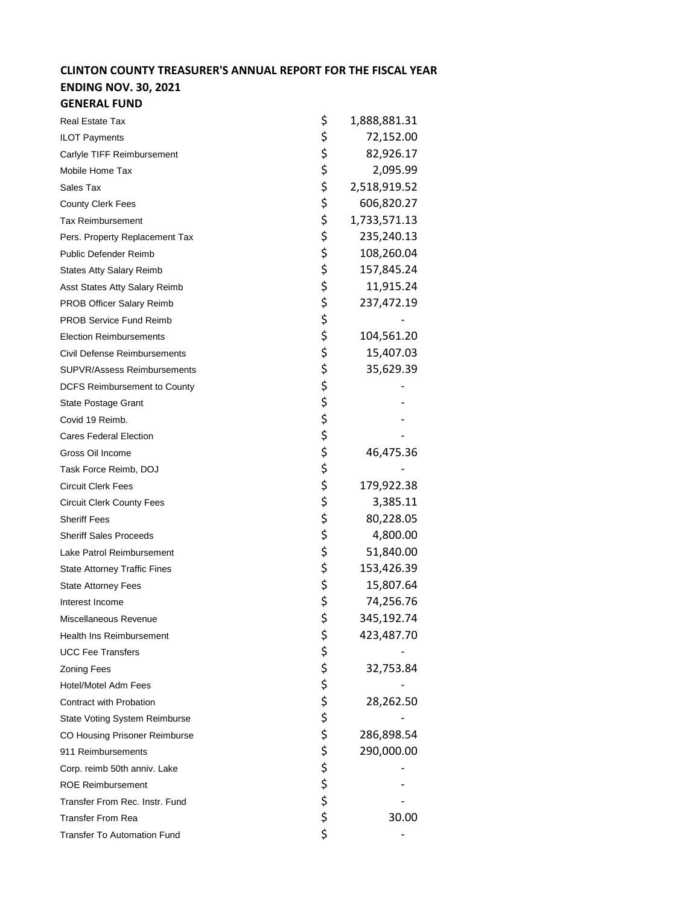## **CLINTON COUNTY TREASURER'S ANNUAL REPORT FOR THE FISCAL YEAR**

## **ENDING NOV. 30, 2021 GENERAL FUND**

| <b>Real Estate Tax</b>               | \$       | 1,888,881.31 |
|--------------------------------------|----------|--------------|
| <b>ILOT Payments</b>                 | \$       | 72,152.00    |
| Carlyle TIFF Reimbursement           | \$       | 82,926.17    |
| Mobile Home Tax                      | \$       | 2,095.99     |
| Sales Tax                            | \$       | 2,518,919.52 |
| <b>County Clerk Fees</b>             | \$       | 606,820.27   |
| <b>Tax Reimbursement</b>             | \$       | 1,733,571.13 |
| Pers. Property Replacement Tax       | \$       | 235,240.13   |
| Public Defender Reimb                | \$       | 108,260.04   |
| <b>States Atty Salary Reimb</b>      | \$       | 157,845.24   |
| Asst States Atty Salary Reimb        | \$       | 11,915.24    |
| PROB Officer Salary Reimb            | \$       | 237,472.19   |
| <b>PROB Service Fund Reimb</b>       | \$       |              |
| <b>Election Reimbursements</b>       | \$       | 104,561.20   |
| <b>Civil Defense Reimbursements</b>  | \$       | 15,407.03    |
| <b>SUPVR/Assess Reimbursements</b>   | \$       | 35,629.39    |
| <b>DCFS Reimbursement to County</b>  | \$       |              |
| <b>State Postage Grant</b>           | \$       |              |
| Covid 19 Reimb.                      | \$       |              |
| <b>Cares Federal Election</b>        | \$       |              |
| Gross Oil Income                     | \$       | 46,475.36    |
| Task Force Reimb, DOJ                | \$       |              |
| <b>Circuit Clerk Fees</b>            | \$       | 179,922.38   |
| <b>Circuit Clerk County Fees</b>     | \$       | 3,385.11     |
| <b>Sheriff Fees</b>                  | \$       | 80,228.05    |
| <b>Sheriff Sales Proceeds</b>        | \$       | 4,800.00     |
| Lake Patrol Reimbursement            | \$       | 51,840.00    |
| <b>State Attorney Traffic Fines</b>  | \$       | 153,426.39   |
| <b>State Attorney Fees</b>           | \$       | 15,807.64    |
| Interest Income                      | \$       | 74,256.76    |
| Miscellaneous Revenue                | \$       | 345,192.74   |
| Health Ins Reimbursement             | \$       | 423,487.70   |
| <b>UCC Fee Transfers</b>             | \$       |              |
| <b>Zoning Fees</b>                   |          | 32,753.84    |
| Hotel/Motel Adm Fees                 | \$<br>\$ |              |
| Contract with Probation              | \$       | 28,262.50    |
| <b>State Voting System Reimburse</b> | \$       |              |
| CO Housing Prisoner Reimburse        | \$       | 286,898.54   |
| 911 Reimbursements                   | \$       | 290,000.00   |
| Corp. reimb 50th anniv. Lake         | \$       |              |
| <b>ROE Reimbursement</b>             |          |              |
| Transfer From Rec. Instr. Fund       | \$<br>\$ |              |
| <b>Transfer From Rea</b>             | \$       | 30.00        |
| <b>Transfer To Automation Fund</b>   | \$       |              |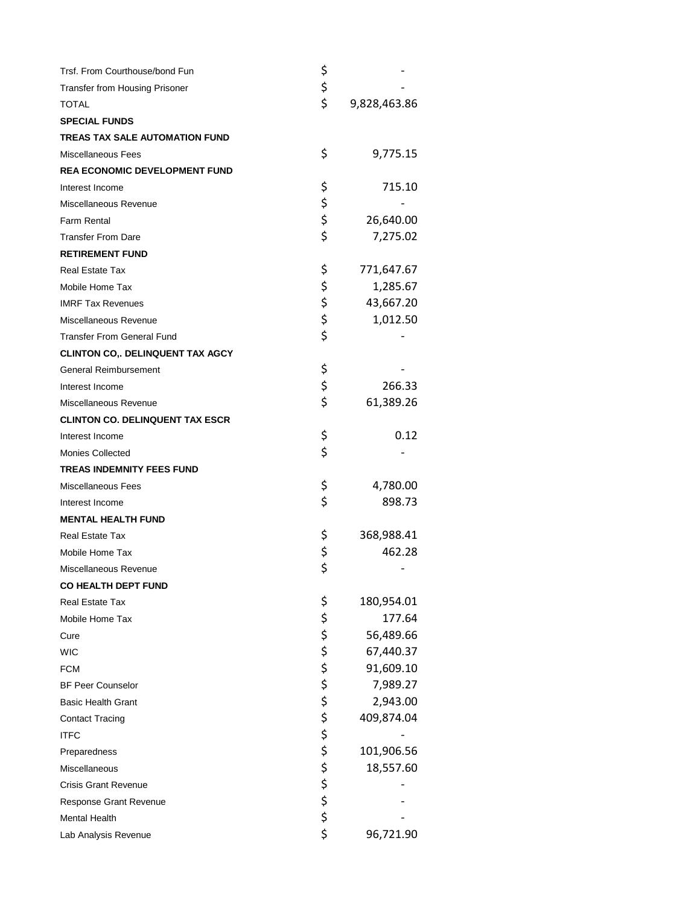| Trsf. From Courthouse/bond Fun          | \$               |              |
|-----------------------------------------|------------------|--------------|
| Transfer from Housing Prisoner          | \$               |              |
| TOTAL                                   | \$               | 9,828,463.86 |
| <b>SPECIAL FUNDS</b>                    |                  |              |
| <b>TREAS TAX SALE AUTOMATION FUND</b>   |                  |              |
| <b>Miscellaneous Fees</b>               | \$               | 9,775.15     |
| REA ECONOMIC DEVELOPMENT FUND           |                  |              |
| Interest Income                         | \$               | 715.10       |
| Miscellaneous Revenue                   | \$<br>\$         |              |
| Farm Rental                             |                  | 26,640.00    |
| <b>Transfer From Dare</b>               | \$               | 7,275.02     |
| <b>RETIREMENT FUND</b>                  |                  |              |
| <b>Real Estate Tax</b>                  | \$               | 771,647.67   |
| Mobile Home Tax                         | \$               | 1,285.67     |
| <b>IMRF Tax Revenues</b>                |                  | 43,667.20    |
| Miscellaneous Revenue                   | \$\$\$           | 1,012.50     |
| <b>Transfer From General Fund</b>       |                  |              |
| <b>CLINTON CO., DELINQUENT TAX AGCY</b> |                  |              |
| General Reimbursement                   | \$               |              |
| Interest Income                         | \$               | 266.33       |
| Miscellaneous Revenue                   | \$               | 61,389.26    |
| <b>CLINTON CO. DELINQUENT TAX ESCR</b>  |                  |              |
| Interest Income                         | \$               | 0.12         |
| <b>Monies Collected</b>                 | \$               |              |
| <b>TREAS INDEMNITY FEES FUND</b>        |                  |              |
| Miscellaneous Fees                      | \$               | 4,780.00     |
| Interest Income                         | \$               | 898.73       |
| <b>MENTAL HEALTH FUND</b>               |                  |              |
| Real Estate Tax                         | \$               | 368,988.41   |
| Mobile Home Tax                         | \$<br>\$         | 462.28       |
| Miscellaneous Revenue                   |                  |              |
| <b>CO HEALTH DEPT FUND</b>              |                  |              |
| Real Estate Tax                         | \$               | 180,954.01   |
| Mobile Home Tax                         |                  | 177.64       |
| Cure                                    |                  | 56,489.66    |
| <b>WIC</b>                              |                  | 67,440.37    |
| <b>FCM</b>                              |                  | 91,609.10    |
| <b>BF Peer Counselor</b>                |                  | 7,989.27     |
| <b>Basic Health Grant</b>               |                  | 2,943.00     |
| <b>Contact Tracing</b>                  |                  | 409,874.04   |
| <b>ITFC</b>                             |                  |              |
| Preparedness                            |                  | 101,906.56   |
| Miscellaneous                           |                  | 18,557.60    |
| <b>Crisis Grant Revenue</b>             | ややややけ ひそうせん かいかん |              |
| Response Grant Revenue                  |                  |              |
| <b>Mental Health</b>                    |                  |              |
| Lab Analysis Revenue                    |                  | 96,721.90    |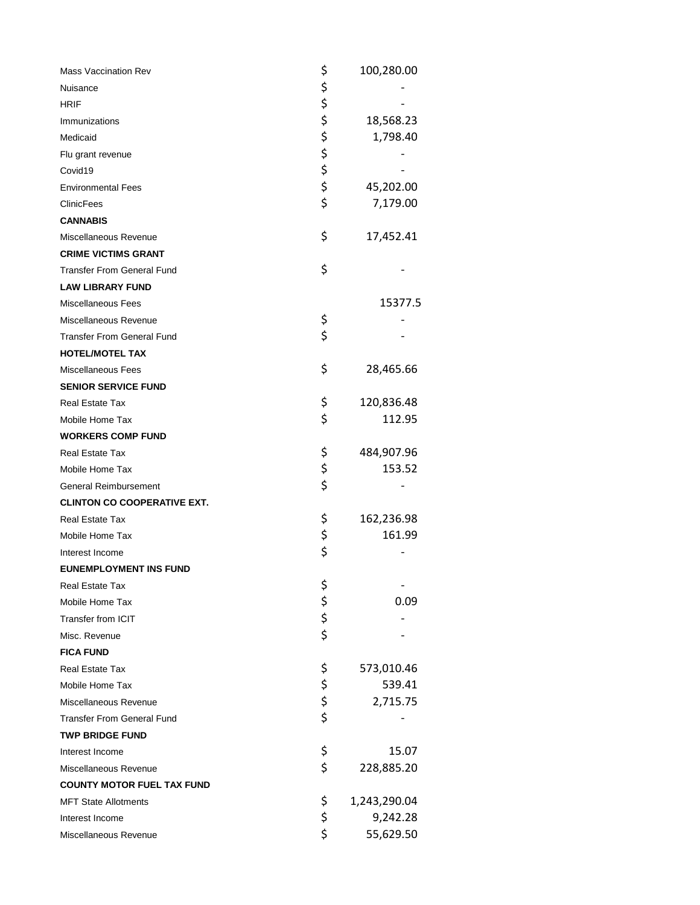| Mass Vaccination Rev               | \$          | 100,280.00   |
|------------------------------------|-------------|--------------|
| Nuisance                           |             |              |
| <b>HRIF</b>                        | \$<br>\$    |              |
| Immunizations                      | \$          | 18,568.23    |
| Medicaid                           |             | 1,798.40     |
| Flu grant revenue                  |             |              |
| Covid19                            | ややや         |              |
| <b>Environmental Fees</b>          |             | 45,202.00    |
| ClinicFees                         |             | 7,179.00     |
| <b>CANNABIS</b>                    |             |              |
| Miscellaneous Revenue              | \$          | 17,452.41    |
| <b>CRIME VICTIMS GRANT</b>         |             |              |
| <b>Transfer From General Fund</b>  | \$          |              |
| <b>LAW LIBRARY FUND</b>            |             |              |
| <b>Miscellaneous Fees</b>          |             | 15377.5      |
| Miscellaneous Revenue              | \$          |              |
| <b>Transfer From General Fund</b>  | \$          |              |
| <b>HOTEL/MOTEL TAX</b>             |             |              |
| Miscellaneous Fees                 | \$          | 28,465.66    |
| <b>SENIOR SERVICE FUND</b>         |             |              |
| Real Estate Tax                    | \$          | 120,836.48   |
| Mobile Home Tax                    | \$          | 112.95       |
| <b>WORKERS COMP FUND</b>           |             |              |
| Real Estate Tax                    | \$          | 484,907.96   |
| Mobile Home Tax                    | \$          | 153.52       |
| General Reimbursement              | \$          |              |
| <b>CLINTON CO COOPERATIVE EXT.</b> |             |              |
| Real Estate Tax                    | \$          | 162,236.98   |
| Mobile Home Tax                    | \$<br>\$    | 161.99       |
| Interest Income                    |             |              |
| <b>EUNEMPLOYMENT INS FUND</b>      |             |              |
| Real Estate Tax                    |             |              |
| Mobile Home Tax                    | \$ \$ \$ \$ | 0.09         |
| <b>Transfer from ICIT</b>          |             |              |
| Misc. Revenue                      |             |              |
| <b>FICA FUND</b>                   |             |              |
| Real Estate Tax                    | \$          | 573,010.46   |
| Mobile Home Tax                    | \$          | 539.41       |
| Miscellaneous Revenue              | \$<br>\$    | 2,715.75     |
| <b>Transfer From General Fund</b>  |             |              |
| <b>TWP BRIDGE FUND</b>             |             |              |
| Interest Income                    | \$          | 15.07        |
| Miscellaneous Revenue              | \$          | 228,885.20   |
| <b>COUNTY MOTOR FUEL TAX FUND</b>  |             |              |
| <b>MFT State Allotments</b>        | \$          | 1,243,290.04 |
| Interest Income                    | \$          | 9,242.28     |
| Miscellaneous Revenue              | \$          | 55,629.50    |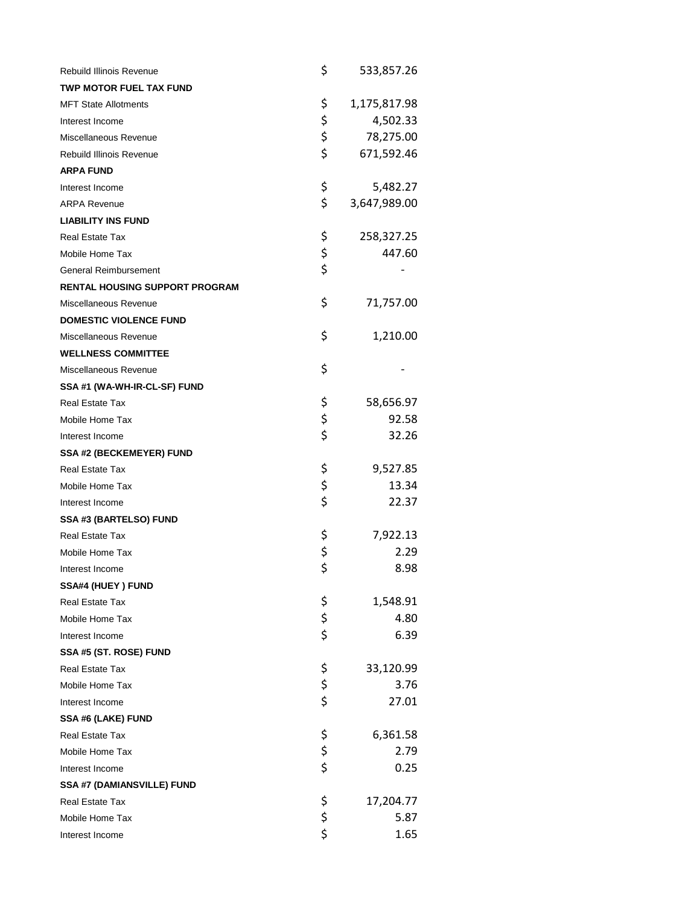| <b>Rebuild Illinois Revenue</b>       | \$             | 533,857.26   |
|---------------------------------------|----------------|--------------|
| <b>TWP MOTOR FUEL TAX FUND</b>        |                |              |
| <b>MFT State Allotments</b>           | \$             | 1,175,817.98 |
| Interest Income                       | \$             | 4,502.33     |
| Miscellaneous Revenue                 | \$             | 78,275.00    |
| <b>Rebuild Illinois Revenue</b>       | \$             | 671,592.46   |
| <b>ARPA FUND</b>                      |                |              |
| Interest Income                       | \$             | 5,482.27     |
| <b>ARPA Revenue</b>                   | \$             | 3,647,989.00 |
| <b>LIABILITY INS FUND</b>             |                |              |
| <b>Real Estate Tax</b>                | \$             | 258,327.25   |
| Mobile Home Tax                       | \$             | 447.60       |
| <b>General Reimbursement</b>          | \$             |              |
| <b>RENTAL HOUSING SUPPORT PROGRAM</b> |                |              |
| Miscellaneous Revenue                 | \$             | 71,757.00    |
| <b>DOMESTIC VIOLENCE FUND</b>         |                |              |
| Miscellaneous Revenue                 | \$             | 1,210.00     |
| <b>WELLNESS COMMITTEE</b>             |                |              |
| Miscellaneous Revenue                 | \$             |              |
| SSA #1 (WA-WH-IR-CL-SF) FUND          |                |              |
| Real Estate Tax                       | \$             | 58,656.97    |
| Mobile Home Tax                       | \$             | 92.58        |
| Interest Income                       | \$             | 32.26        |
| <b>SSA #2 (BECKEMEYER) FUND</b>       |                |              |
| <b>Real Estate Tax</b>                | \$             | 9,527.85     |
| Mobile Home Tax                       | \$             | 13.34        |
| Interest Income                       | \$             | 22.37        |
| SSA #3 (BARTELSO) FUND                |                |              |
| Real Estate Tax                       | \$             | 7,922.13     |
| Mobile Home Tax                       | \$             | 2.29         |
| Interest Income                       | \$             | 8.98         |
| SSA#4 (HUEY) FUND                     |                |              |
| Real Estate Tax                       |                | 1,548.91     |
| Mobile Home Tax                       | \$<br>\$<br>\$ | 4.80         |
| Interest Income                       |                | 6.39         |
| SSA #5 (ST. ROSE) FUND                |                |              |
| <b>Real Estate Tax</b>                |                | 33,120.99    |
| Mobile Home Tax                       | \$<br>\$<br>\$ | 3.76         |
| Interest Income                       |                | 27.01        |
| SSA #6 (LAKE) FUND                    |                |              |
| Real Estate Tax                       | \$             | 6,361.58     |
| Mobile Home Tax                       | \$<br>\$       | 2.79         |
| Interest Income                       |                | 0.25         |
| SSA #7 (DAMIANSVILLE) FUND            |                |              |
| Real Estate Tax                       | \$             | 17,204.77    |
| Mobile Home Tax                       | \$<br>\$       | 5.87         |
| Interest Income                       |                | 1.65         |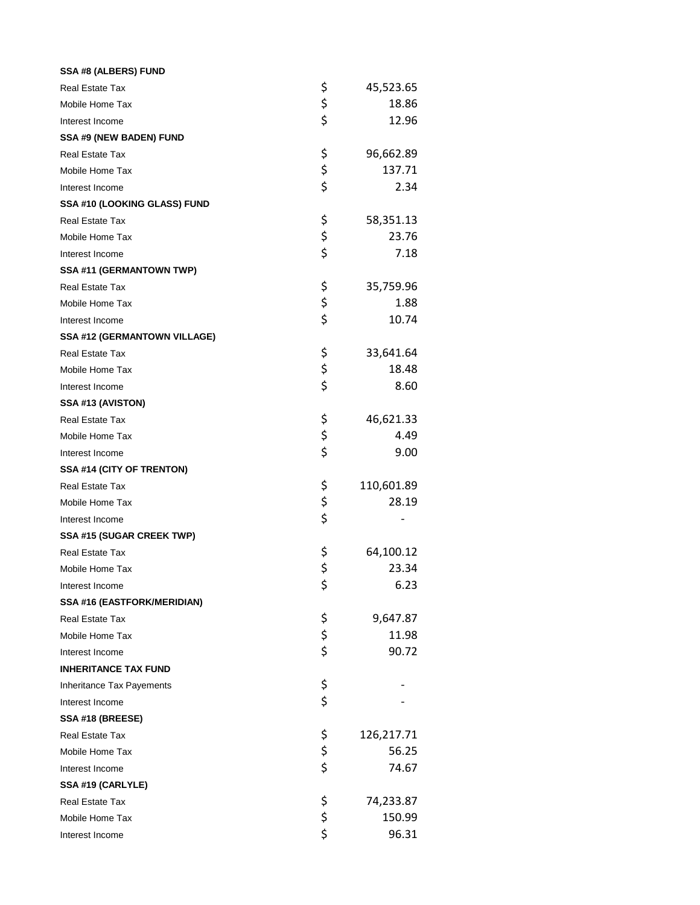| SSA #8 (ALBERS) FUND                |                  |
|-------------------------------------|------------------|
| <b>Real Estate Tax</b>              | \$<br>45,523.65  |
| Mobile Home Tax                     | \$<br>18.86      |
| Interest Income                     | \$<br>12.96      |
| SSA #9 (NEW BADEN) FUND             |                  |
| <b>Real Estate Tax</b>              | \$<br>96,662.89  |
| Mobile Home Tax                     | \$<br>137.71     |
| Interest Income                     | \$<br>2.34       |
| SSA #10 (LOOKING GLASS) FUND        |                  |
| <b>Real Estate Tax</b>              | \$<br>58,351.13  |
| Mobile Home Tax                     | \$<br>23.76      |
| Interest Income                     | \$<br>7.18       |
| SSA #11 (GERMANTOWN TWP)            |                  |
| Real Estate Tax                     | \$<br>35,759.96  |
| Mobile Home Tax                     | \$<br>1.88       |
| Interest Income                     | \$<br>10.74      |
| <b>SSA #12 (GERMANTOWN VILLAGE)</b> |                  |
| <b>Real Estate Tax</b>              | \$<br>33,641.64  |
| Mobile Home Tax                     | \$<br>18.48      |
| Interest Income                     | \$<br>8.60       |
| SSA #13 (AVISTON)                   |                  |
| <b>Real Estate Tax</b>              | \$<br>46,621.33  |
| Mobile Home Tax                     | \$<br>4.49       |
| Interest Income                     | \$<br>9.00       |
| SSA #14 (CITY OF TRENTON)           |                  |
| <b>Real Estate Tax</b>              | \$<br>110,601.89 |
| Mobile Home Tax                     | \$<br>28.19      |
| Interest Income                     | \$               |
| SSA #15 (SUGAR CREEK TWP)           |                  |
| Real Estate Tax                     | \$<br>64,100.12  |
| Mobile Home Tax                     | \$<br>23.34      |
| Interest Income                     | \$<br>6.23       |
| SSA #16 (EASTFORK/MERIDIAN)         |                  |
| Real Estate Tax                     | \$<br>9,647.87   |
| Mobile Home Tax                     | \$<br>11.98      |
| Interest Income                     | \$<br>90.72      |
| <b>INHERITANCE TAX FUND</b>         |                  |
| <b>Inheritance Tax Payements</b>    | \$               |
| Interest Income                     | \$               |
| SSA #18 (BREESE)                    |                  |
| Real Estate Tax                     | \$<br>126,217.71 |
| Mobile Home Tax                     | \$<br>56.25      |
| Interest Income                     | \$<br>74.67      |
| SSA #19 (CARLYLE)                   |                  |
| Real Estate Tax                     | \$<br>74,233.87  |
| Mobile Home Tax                     | \$<br>150.99     |
| Interest Income                     | \$<br>96.31      |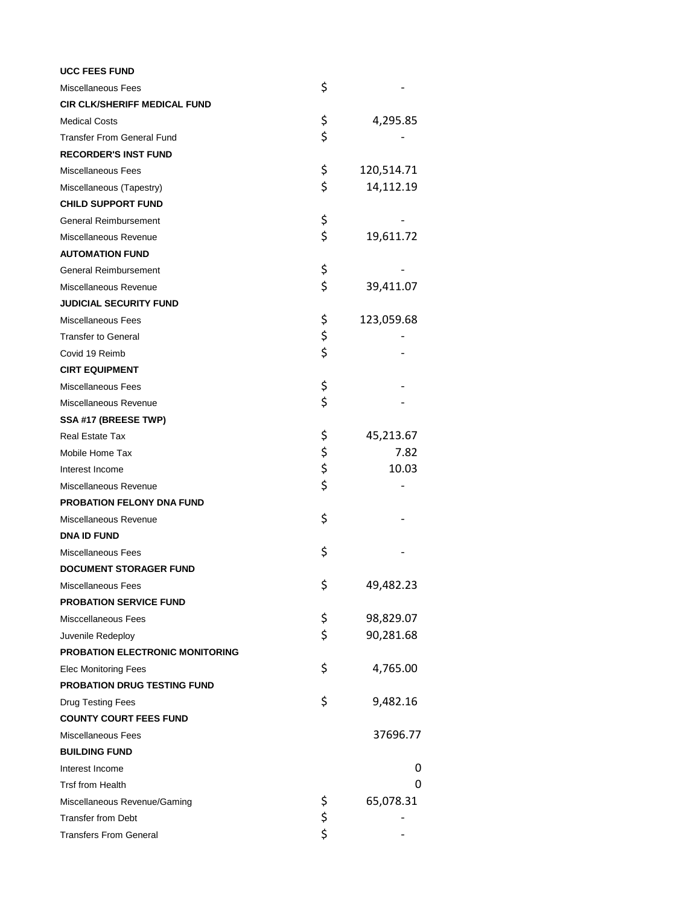| <b>UCC FEES FUND</b>                   |          |            |
|----------------------------------------|----------|------------|
| <b>Miscellaneous Fees</b>              | \$       |            |
| <b>CIR CLK/SHERIFF MEDICAL FUND</b>    |          |            |
| <b>Medical Costs</b>                   | \$       | 4,295.85   |
| <b>Transfer From General Fund</b>      | \$       |            |
| <b>RECORDER'S INST FUND</b>            |          |            |
| Miscellaneous Fees                     | \$       | 120,514.71 |
| Miscellaneous (Tapestry)               | \$       | 14,112.19  |
| <b>CHILD SUPPORT FUND</b>              |          |            |
| <b>General Reimbursement</b>           | \$       |            |
| Miscellaneous Revenue                  | \$       | 19,611.72  |
| <b>AUTOMATION FUND</b>                 |          |            |
| General Reimbursement                  | \$       |            |
| Miscellaneous Revenue                  | \$       | 39,411.07  |
| <b>JUDICIAL SECURITY FUND</b>          |          |            |
| Miscellaneous Fees                     | \$       | 123,059.68 |
| <b>Transfer to General</b>             | \$       |            |
| Covid 19 Reimb                         | \$       |            |
| <b>CIRT EQUIPMENT</b>                  |          |            |
| <b>Miscellaneous Fees</b>              | \$       |            |
| Miscellaneous Revenue                  | \$       |            |
| SSA #17 (BREESE TWP)                   |          |            |
| <b>Real Estate Tax</b>                 | \$       | 45,213.67  |
| Mobile Home Tax                        |          | 7.82       |
| Interest Income                        | \$\$\$   | 10.03      |
| Miscellaneous Revenue                  |          |            |
| PROBATION FELONY DNA FUND              |          |            |
| Miscellaneous Revenue                  | \$       |            |
| <b>DNA ID FUND</b>                     |          |            |
| <b>Miscellaneous Fees</b>              | \$       |            |
| <b>DOCUMENT STORAGER FUND</b>          |          |            |
| Miscellaneous Fees                     | \$       | 49,482.23  |
| <b>PROBATION SERVICE FUND</b>          |          |            |
| Misccellaneous Fees                    | \$       | 98,829.07  |
| Juvenile Redeploy                      | \$       | 90,281.68  |
| <b>PROBATION ELECTRONIC MONITORING</b> |          |            |
| <b>Elec Monitoring Fees</b>            | \$       | 4,765.00   |
| PROBATION DRUG TESTING FUND            |          |            |
| Drug Testing Fees                      | \$       | 9,482.16   |
| <b>COUNTY COURT FEES FUND</b>          |          |            |
| <b>Miscellaneous Fees</b>              |          | 37696.77   |
| <b>BUILDING FUND</b>                   |          |            |
| Interest Income                        |          | 0          |
| <b>Trsf from Health</b>                |          | 0          |
| Miscellaneous Revenue/Gaming           | \$       | 65,078.31  |
| <b>Transfer from Debt</b>              | \$<br>\$ |            |
| <b>Transfers From General</b>          |          |            |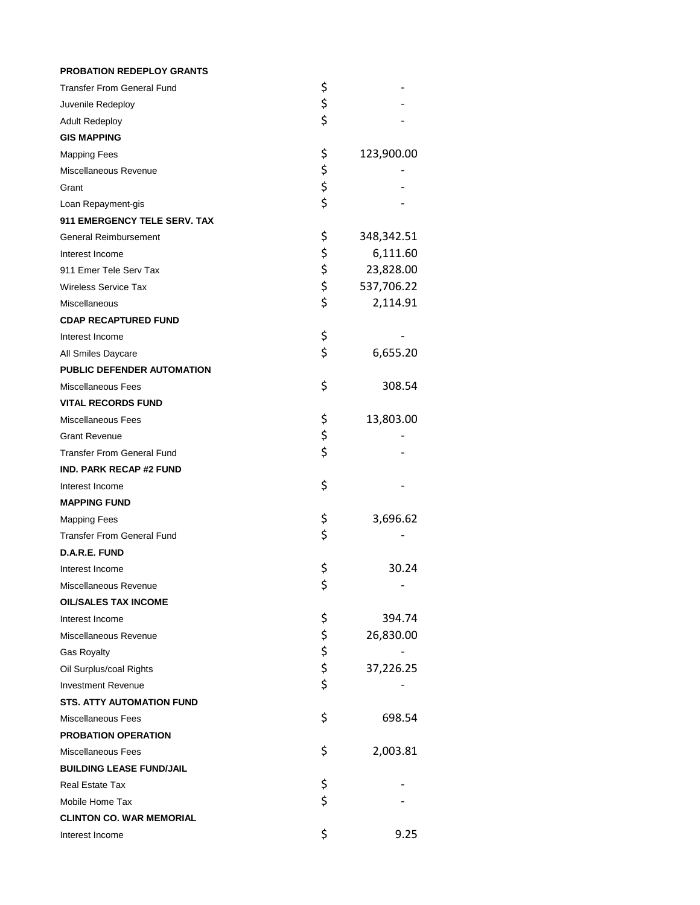| <b>PROBATION REDEPLOY GRANTS</b>  |          |            |
|-----------------------------------|----------|------------|
| <b>Transfer From General Fund</b> | \$       |            |
| Juvenile Redeploy                 | \$       |            |
| <b>Adult Redeploy</b>             | \$       |            |
| <b>GIS MAPPING</b>                |          |            |
| <b>Mapping Fees</b>               | \$       | 123,900.00 |
| Miscellaneous Revenue             |          |            |
| Grant                             | \$\$\$   |            |
| Loan Repayment-gis                |          |            |
| 911 EMERGENCY TELE SERV. TAX      |          |            |
| <b>General Reimbursement</b>      | \$       | 348,342.51 |
| Interest Income                   |          | 6,111.60   |
| 911 Emer Tele Serv Tax            | らさ       | 23,828.00  |
| <b>Wireless Service Tax</b>       |          | 537,706.22 |
| Miscellaneous                     | \$       | 2,114.91   |
| <b>CDAP RECAPTURED FUND</b>       |          |            |
| Interest Income                   | \$       |            |
| All Smiles Daycare                | \$       | 6,655.20   |
| PUBLIC DEFENDER AUTOMATION        |          |            |
| <b>Miscellaneous Fees</b>         | \$       | 308.54     |
| <b>VITAL RECORDS FUND</b>         |          |            |
| Miscellaneous Fees                | \$       | 13,803.00  |
| <b>Grant Revenue</b>              | \$       |            |
| <b>Transfer From General Fund</b> | \$       |            |
| <b>IND. PARK RECAP #2 FUND</b>    |          |            |
| Interest Income                   | \$       |            |
| <b>MAPPING FUND</b>               |          |            |
| <b>Mapping Fees</b>               | \$       | 3,696.62   |
| <b>Transfer From General Fund</b> | \$       |            |
| D.A.R.E. FUND                     |          |            |
| Interest Income                   | \$       | 30.24      |
| Miscellaneous Revenue             | \$       |            |
| <b>OIL/SALES TAX INCOME</b>       |          |            |
| Interest Income                   | \$       | 394.74     |
| Miscellaneous Revenue             |          | 26,830.00  |
| <b>Gas Royalty</b>                | \$ \$ \$ |            |
| Oil Surplus/coal Rights           |          | 37,226.25  |
| <b>Investment Revenue</b>         |          |            |
| <b>STS. ATTY AUTOMATION FUND</b>  |          |            |
| Miscellaneous Fees                | \$       | 698.54     |
| <b>PROBATION OPERATION</b>        |          |            |
| <b>Miscellaneous Fees</b>         | \$       | 2,003.81   |
| <b>BUILDING LEASE FUND/JAIL</b>   |          |            |
| Real Estate Tax                   | \$       |            |
| Mobile Home Tax                   | \$       |            |
| <b>CLINTON CO. WAR MEMORIAL</b>   |          |            |
| Interest Income                   | \$       | 9.25       |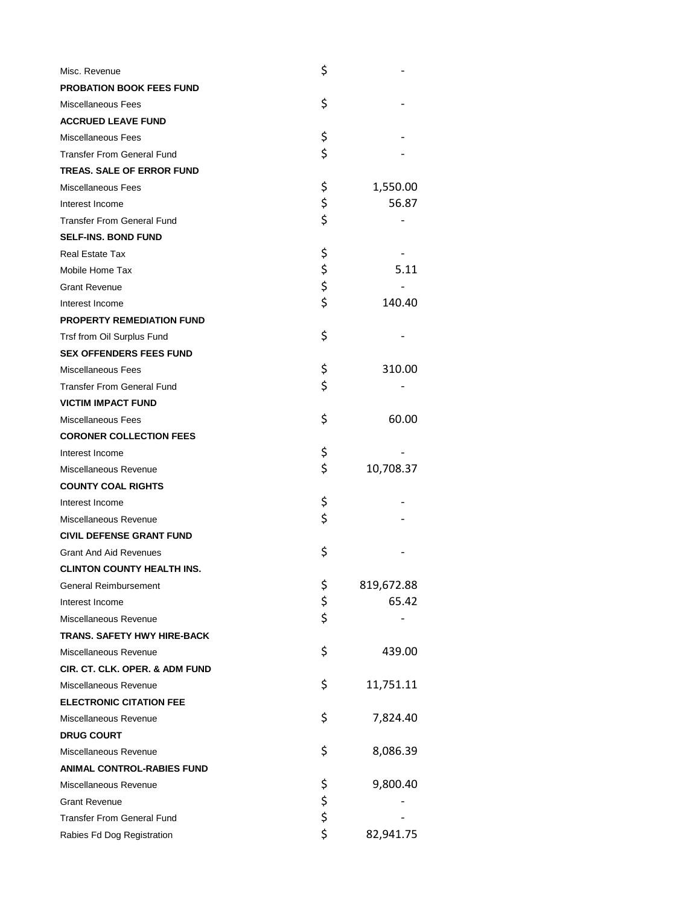| Misc. Revenue                     | \$       |            |
|-----------------------------------|----------|------------|
| PROBATION BOOK FEES FUND          |          |            |
| Miscellaneous Fees                | \$       |            |
| <b>ACCRUED LEAVE FUND</b>         |          |            |
| <b>Miscellaneous Fees</b>         | \$       |            |
| <b>Transfer From General Fund</b> | \$       |            |
| <b>TREAS. SALE OF ERROR FUND</b>  |          |            |
| Miscellaneous Fees                | \$       | 1,550.00   |
| Interest Income                   | \$       | 56.87      |
| <b>Transfer From General Fund</b> | \$       |            |
| <b>SELF-INS, BOND FUND</b>        |          |            |
| Real Estate Tax                   | \$       |            |
| Mobile Home Tax                   |          | 5.11       |
| <b>Grant Revenue</b>              | \$<br>\$ |            |
| Interest Income                   | \$       | 140.40     |
| <b>PROPERTY REMEDIATION FUND</b>  |          |            |
| Trsf from Oil Surplus Fund        | \$       |            |
| <b>SEX OFFENDERS FEES FUND</b>    |          |            |
| <b>Miscellaneous Fees</b>         | \$       | 310.00     |
| <b>Transfer From General Fund</b> | \$       |            |
| <b>VICTIM IMPACT FUND</b>         |          |            |
| Miscellaneous Fees                | \$       | 60.00      |
| <b>CORONER COLLECTION FEES</b>    |          |            |
| Interest Income                   | \$       |            |
| Miscellaneous Revenue             | \$       | 10,708.37  |
| <b>COUNTY COAL RIGHTS</b>         |          |            |
| Interest Income                   | \$       |            |
| Miscellaneous Revenue             | \$       |            |
| <b>CIVIL DEFENSE GRANT FUND</b>   |          |            |
| <b>Grant And Aid Revenues</b>     | \$       |            |
| <b>CLINTON COUNTY HEALTH INS.</b> |          |            |
| <b>General Reimbursement</b>      | \$       | 819,672.88 |
| Interest Income                   | \$       | 65.42      |
| Miscellaneous Revenue             | \$       |            |
| TRANS. SAFETY HWY HIRE-BACK       |          |            |
| Miscellaneous Revenue             | \$       | 439.00     |
| CIR. CT. CLK. OPER. & ADM FUND    |          |            |
| Miscellaneous Revenue             | \$       | 11,751.11  |
| <b>ELECTRONIC CITATION FEE</b>    |          |            |
| Miscellaneous Revenue             | \$       | 7,824.40   |
| <b>DRUG COURT</b>                 |          |            |
| Miscellaneous Revenue             | \$       | 8,086.39   |
| <b>ANIMAL CONTROL-RABIES FUND</b> |          |            |
| Miscellaneous Revenue             | \$       | 9,800.40   |
| <b>Grant Revenue</b>              | \$ \$ \$ |            |
| <b>Transfer From General Fund</b> |          |            |
| Rabies Fd Dog Registration        |          | 82,941.75  |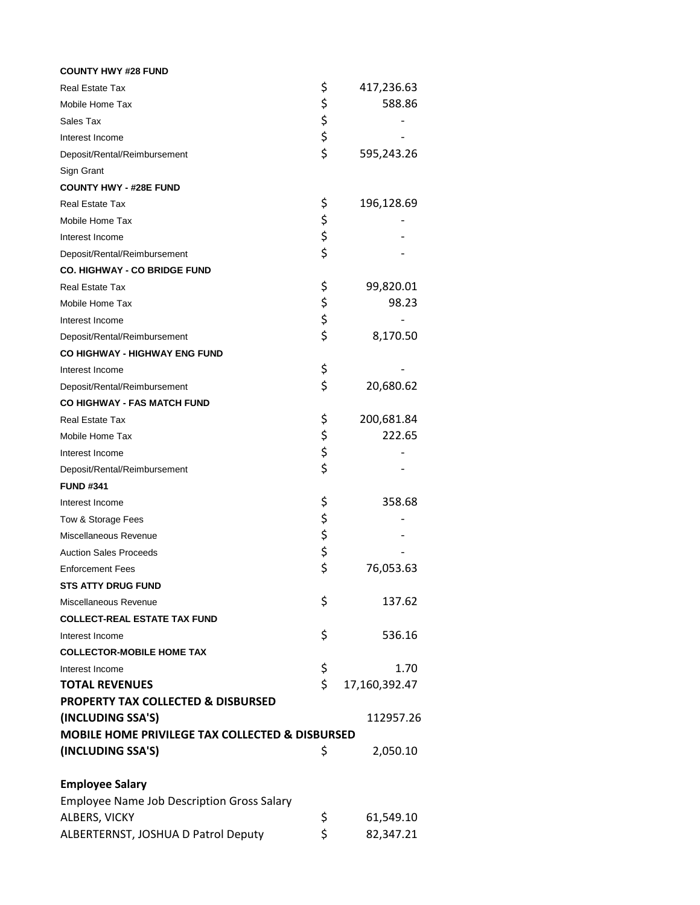| <b>COUNTY HWY #28 FUND</b>                                 |          |               |
|------------------------------------------------------------|----------|---------------|
| <b>Real Estate Tax</b>                                     | \$       | 417,236.63    |
| Mobile Home Tax                                            | \$       | 588.86        |
| Sales Tax                                                  |          |               |
| Interest Income                                            | \$<br>\$ |               |
| Deposit/Rental/Reimbursement                               | \$       | 595,243.26    |
| Sign Grant                                                 |          |               |
| <b>COUNTY HWY - #28E FUND</b>                              |          |               |
| <b>Real Estate Tax</b>                                     | \$       | 196,128.69    |
| Mobile Home Tax                                            | \$       |               |
| Interest Income                                            | \$       |               |
| Deposit/Rental/Reimbursement                               | \$       |               |
| <b>CO. HIGHWAY - CO BRIDGE FUND</b>                        |          |               |
| <b>Real Estate Tax</b>                                     | \$       | 99,820.01     |
| Mobile Home Tax                                            | \$       | 98.23         |
| Interest Income                                            | \$       |               |
| Deposit/Rental/Reimbursement                               | \$       | 8,170.50      |
| <b>CO HIGHWAY - HIGHWAY ENG FUND</b>                       |          |               |
| Interest Income                                            | \$       |               |
| Deposit/Rental/Reimbursement                               | \$       | 20,680.62     |
| <b>CO HIGHWAY - FAS MATCH FUND</b>                         |          |               |
| <b>Real Estate Tax</b>                                     | \$       | 200,681.84    |
| Mobile Home Tax                                            | \$       | 222.65        |
| Interest Income                                            | \$       |               |
| Deposit/Rental/Reimbursement                               | \$       |               |
| <b>FUND #341</b>                                           |          |               |
| Interest Income                                            | \$       | 358.68        |
| Tow & Storage Fees                                         | \$       |               |
| Miscellaneous Revenue                                      |          |               |
| <b>Auction Sales Proceeds</b>                              | \$<br>\$ |               |
| <b>Enforcement Fees</b>                                    | \$       | 76,053.63     |
| <b>STS ATTY DRUG FUND</b>                                  |          |               |
| Miscellaneous Revenue                                      | \$       | 137.62        |
| <b>COLLECT-REAL ESTATE TAX FUND</b>                        |          |               |
| Interest Income                                            | \$       | 536.16        |
| <b>COLLECTOR-MOBILE HOME TAX</b>                           |          |               |
| Interest Income                                            | \$       | 1.70          |
| <b>TOTAL REVENUES</b>                                      | \$       | 17,160,392.47 |
| <b>PROPERTY TAX COLLECTED &amp; DISBURSED</b>              |          |               |
| (INCLUDING SSA'S)                                          |          | 112957.26     |
| <b>MOBILE HOME PRIVILEGE TAX COLLECTED &amp; DISBURSED</b> |          |               |
| (INCLUDING SSA'S)                                          | \$       | 2,050.10      |
| <b>Employee Salary</b>                                     |          |               |
| <b>Employee Name Job Description Gross Salary</b>          |          |               |
| ALBERS, VICKY                                              | \$       | 61,549.10     |
| ALBERTERNST, JOSHUA D Patrol Deputy                        | \$       | 82,347.21     |
|                                                            |          |               |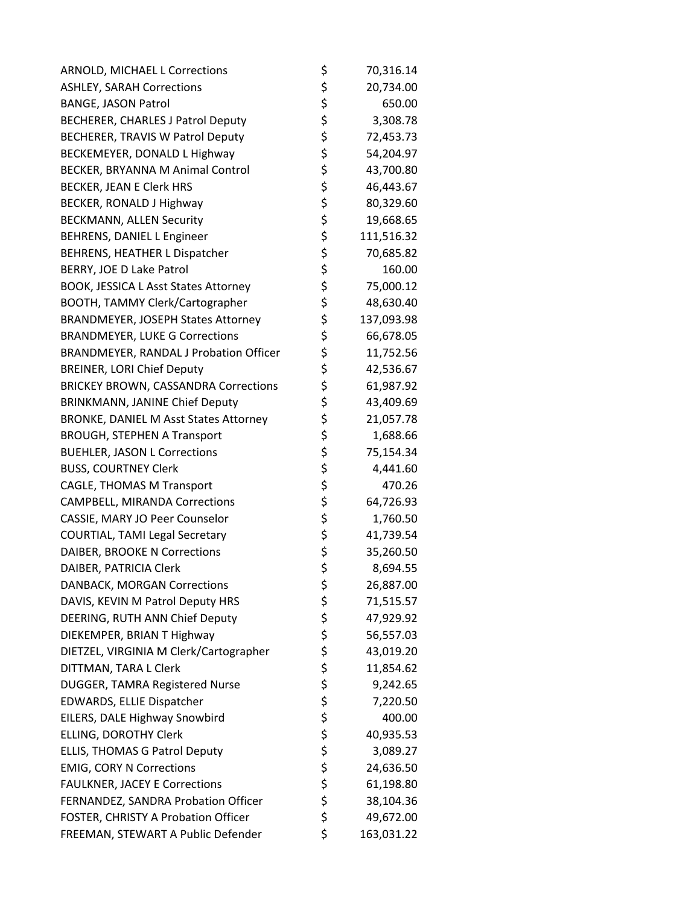| ARNOLD, MICHAEL L Corrections                 | \$<br>70,316.14  |
|-----------------------------------------------|------------------|
| <b>ASHLEY, SARAH Corrections</b>              | \$<br>20,734.00  |
| <b>BANGE, JASON Patrol</b>                    | \$<br>650.00     |
| <b>BECHERER, CHARLES J Patrol Deputy</b>      | \$<br>3,308.78   |
| BECHERER, TRAVIS W Patrol Deputy              | \$<br>72,453.73  |
| BECKEMEYER, DONALD L Highway                  | \$<br>54,204.97  |
| BECKER, BRYANNA M Animal Control              | \$<br>43,700.80  |
| <b>BECKER, JEAN E Clerk HRS</b>               | \$<br>46,443.67  |
| BECKER, RONALD J Highway                      | \$<br>80,329.60  |
| <b>BECKMANN, ALLEN Security</b>               | \$<br>19,668.65  |
| BEHRENS, DANIEL L Engineer                    | \$<br>111,516.32 |
| BEHRENS, HEATHER L Dispatcher                 | \$<br>70,685.82  |
| BERRY, JOE D Lake Patrol                      | \$<br>160.00     |
| <b>BOOK, JESSICA L Asst States Attorney</b>   | \$<br>75,000.12  |
| <b>BOOTH, TAMMY Clerk/Cartographer</b>        | \$<br>48,630.40  |
| <b>BRANDMEYER, JOSEPH States Attorney</b>     | \$<br>137,093.98 |
| <b>BRANDMEYER, LUKE G Corrections</b>         | \$<br>66,678.05  |
| <b>BRANDMEYER, RANDAL J Probation Officer</b> | \$<br>11,752.56  |
| <b>BREINER, LORI Chief Deputy</b>             | \$<br>42,536.67  |
| <b>BRICKEY BROWN, CASSANDRA Corrections</b>   | \$<br>61,987.92  |
| <b>BRINKMANN, JANINE Chief Deputy</b>         | \$<br>43,409.69  |
| <b>BRONKE, DANIEL M Asst States Attorney</b>  | \$<br>21,057.78  |
| <b>BROUGH, STEPHEN A Transport</b>            | \$<br>1,688.66   |
| <b>BUEHLER, JASON L Corrections</b>           | \$<br>75,154.34  |
| <b>BUSS, COURTNEY Clerk</b>                   | \$<br>4,441.60   |
| <b>CAGLE, THOMAS M Transport</b>              | \$<br>470.26     |
| <b>CAMPBELL, MIRANDA Corrections</b>          | \$<br>64,726.93  |
| CASSIE, MARY JO Peer Counselor                | \$<br>1,760.50   |
| COURTIAL, TAMI Legal Secretary                | \$<br>41,739.54  |
| DAIBER, BROOKE N Corrections                  | \$<br>35,260.50  |
| DAIBER, PATRICIA Clerk                        | \$<br>8,694.55   |
| DANBACK, MORGAN Corrections                   | \$<br>26,887.00  |
| DAVIS, KEVIN M Patrol Deputy HRS              | \$<br>71,515.57  |
| DEERING, RUTH ANN Chief Deputy                | \$<br>47,929.92  |
| DIEKEMPER, BRIAN T Highway                    | \$<br>56,557.03  |
| DIETZEL, VIRGINIA M Clerk/Cartographer        | \$<br>43,019.20  |
| DITTMAN, TARA L Clerk                         | \$<br>11,854.62  |
| DUGGER, TAMRA Registered Nurse                | \$<br>9,242.65   |
| EDWARDS, ELLIE Dispatcher                     | \$<br>7,220.50   |
| EILERS, DALE Highway Snowbird                 | \$<br>400.00     |
| ELLING, DOROTHY Clerk                         | \$<br>40,935.53  |
| <b>ELLIS, THOMAS G Patrol Deputy</b>          | \$<br>3,089.27   |
| <b>EMIG, CORY N Corrections</b>               | \$<br>24,636.50  |
| <b>FAULKNER, JACEY E Corrections</b>          | \$<br>61,198.80  |
| FERNANDEZ, SANDRA Probation Officer           | \$<br>38,104.36  |
| FOSTER, CHRISTY A Probation Officer           | \$<br>49,672.00  |
| FREEMAN, STEWART A Public Defender            | \$<br>163,031.22 |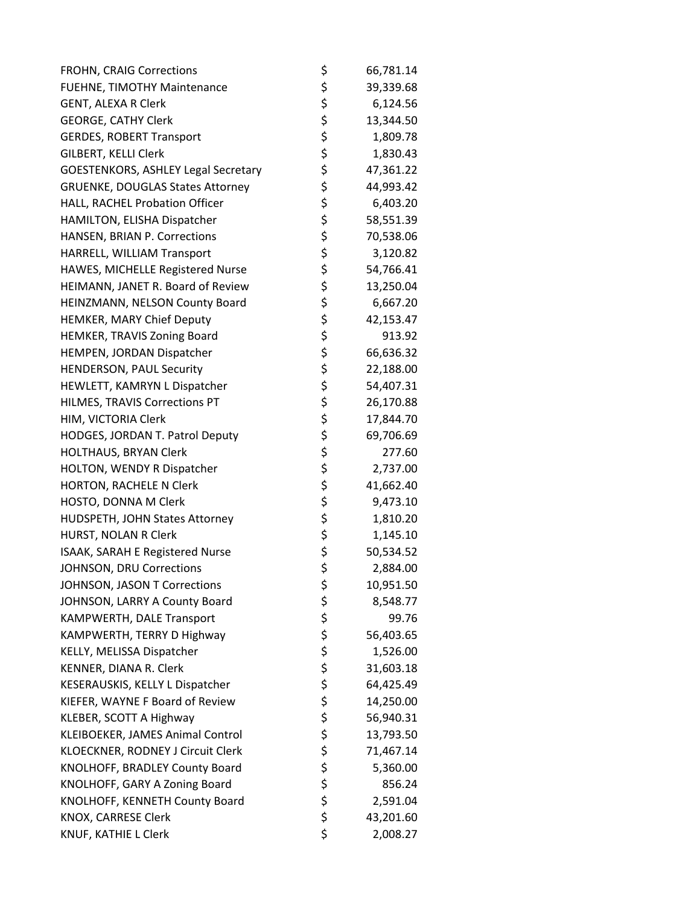| FROHN, CRAIG Corrections                   | \$       | 66,781.14 |
|--------------------------------------------|----------|-----------|
| FUEHNE, TIMOTHY Maintenance                | \$       | 39,339.68 |
| <b>GENT, ALEXA R Clerk</b>                 | \$       | 6,124.56  |
| <b>GEORGE, CATHY Clerk</b>                 | \$       | 13,344.50 |
| <b>GERDES, ROBERT Transport</b>            | \$       | 1,809.78  |
| <b>GILBERT, KELLI Clerk</b>                | \$       | 1,830.43  |
| <b>GOESTENKORS, ASHLEY Legal Secretary</b> | \$       | 47,361.22 |
| <b>GRUENKE, DOUGLAS States Attorney</b>    | \$       | 44,993.42 |
| HALL, RACHEL Probation Officer             | \$       | 6,403.20  |
| HAMILTON, ELISHA Dispatcher                | \$       | 58,551.39 |
| HANSEN, BRIAN P. Corrections               | \$       | 70,538.06 |
| HARRELL, WILLIAM Transport                 | \$       | 3,120.82  |
| HAWES, MICHELLE Registered Nurse           | \$       | 54,766.41 |
| HEIMANN, JANET R. Board of Review          | \$       | 13,250.04 |
| HEINZMANN, NELSON County Board             | \$       | 6,667.20  |
| HEMKER, MARY Chief Deputy                  | \$       | 42,153.47 |
| HEMKER, TRAVIS Zoning Board                | \$       | 913.92    |
| HEMPEN, JORDAN Dispatcher                  | \$       | 66,636.32 |
| <b>HENDERSON, PAUL Security</b>            | \$       | 22,188.00 |
| HEWLETT, KAMRYN L Dispatcher               | \$       | 54,407.31 |
| HILMES, TRAVIS Corrections PT              | \$       | 26,170.88 |
| HIM, VICTORIA Clerk                        | \$       | 17,844.70 |
| HODGES, JORDAN T. Patrol Deputy            | \$       | 69,706.69 |
| HOLTHAUS, BRYAN Clerk                      | \$       | 277.60    |
| HOLTON, WENDY R Dispatcher                 | \$       | 2,737.00  |
| HORTON, RACHELE N Clerk                    | \$       | 41,662.40 |
| HOSTO, DONNA M Clerk                       | \$       | 9,473.10  |
| HUDSPETH, JOHN States Attorney             | \$       | 1,810.20  |
| HURST, NOLAN R Clerk                       | \$       | 1,145.10  |
| ISAAK, SARAH E Registered Nurse            | \$       | 50,534.52 |
| JOHNSON, DRU Corrections                   | \$       | 2,884.00  |
| JOHNSON, JASON T Corrections               | \$       | 10,951.50 |
| JOHNSON, LARRY A County Board              | \$       | 8,548.77  |
| KAMPWERTH, DALE Transport                  | \$       | 99.76     |
| KAMPWERTH, TERRY D Highway                 | \$       | 56,403.65 |
| KELLY, MELISSA Dispatcher                  | \$       | 1,526.00  |
| KENNER, DIANA R. Clerk                     | \$       | 31,603.18 |
| KESERAUSKIS, KELLY L Dispatcher            | \$       | 64,425.49 |
| KIEFER, WAYNE F Board of Review            | \$       | 14,250.00 |
| KLEBER, SCOTT A Highway                    | \$       | 56,940.31 |
| KLEIBOEKER, JAMES Animal Control           | \$       | 13,793.50 |
| KLOECKNER, RODNEY J Circuit Clerk          | \$       | 71,467.14 |
| KNOLHOFF, BRADLEY County Board             | \$       | 5,360.00  |
| KNOLHOFF, GARY A Zoning Board              |          | 856.24    |
| KNOLHOFF, KENNETH County Board             | \$<br>\$ | 2,591.04  |
| KNOX, CARRESE Clerk                        | \$       | 43,201.60 |
| KNUF, KATHIE L Clerk                       | \$       | 2,008.27  |
|                                            |          |           |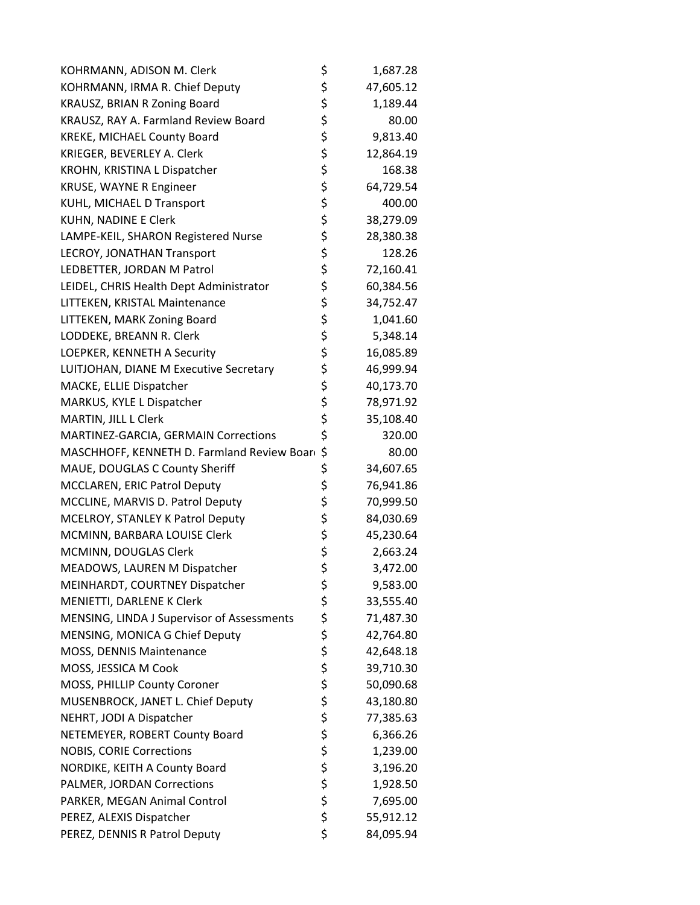| KOHRMANN, ADISON M. Clerk                  | \$       | 1,687.28  |
|--------------------------------------------|----------|-----------|
| KOHRMANN, IRMA R. Chief Deputy             | \$       | 47,605.12 |
| KRAUSZ, BRIAN R Zoning Board               | \$       | 1,189.44  |
| KRAUSZ, RAY A. Farmland Review Board       | \$       | 80.00     |
| KREKE, MICHAEL County Board                | \$       | 9,813.40  |
| KRIEGER, BEVERLEY A. Clerk                 | \$       | 12,864.19 |
| KROHN, KRISTINA L Dispatcher               | \$       | 168.38    |
| <b>KRUSE, WAYNE R Engineer</b>             | \$       | 64,729.54 |
| KUHL, MICHAEL D Transport                  | \$       | 400.00    |
| KUHN, NADINE E Clerk                       | \$       | 38,279.09 |
| LAMPE-KEIL, SHARON Registered Nurse        | \$       | 28,380.38 |
| LECROY, JONATHAN Transport                 | \$       | 128.26    |
| LEDBETTER, JORDAN M Patrol                 | \$       | 72,160.41 |
| LEIDEL, CHRIS Health Dept Administrator    | \$       | 60,384.56 |
| LITTEKEN, KRISTAL Maintenance              | \$       | 34,752.47 |
| LITTEKEN, MARK Zoning Board                | \$       | 1,041.60  |
| LODDEKE, BREANN R. Clerk                   | \$       | 5,348.14  |
| LOEPKER, KENNETH A Security                | \$       | 16,085.89 |
| LUITJOHAN, DIANE M Executive Secretary     | \$       | 46,999.94 |
| MACKE, ELLIE Dispatcher                    | \$       | 40,173.70 |
| MARKUS, KYLE L Dispatcher                  | \$       | 78,971.92 |
| MARTIN, JILL L Clerk                       | \$       | 35,108.40 |
| MARTINEZ-GARCIA, GERMAIN Corrections       | \$       | 320.00    |
| MASCHHOFF, KENNETH D. Farmland Review Boar | \$       | 80.00     |
| MAUE, DOUGLAS C County Sheriff             | \$       | 34,607.65 |
| MCCLAREN, ERIC Patrol Deputy               | \$       | 76,941.86 |
| MCCLINE, MARVIS D. Patrol Deputy           | \$       | 70,999.50 |
| MCELROY, STANLEY K Patrol Deputy           | \$       | 84,030.69 |
| MCMINN, BARBARA LOUISE Clerk               | \$       | 45,230.64 |
| MCMINN, DOUGLAS Clerk                      | \$       | 2,663.24  |
| MEADOWS, LAUREN M Dispatcher               | \$       | 3,472.00  |
| MEINHARDT, COURTNEY Dispatcher             | \$       | 9,583.00  |
| MENIETTI, DARLENE K Clerk                  | \$       | 33,555.40 |
| MENSING, LINDA J Supervisor of Assessments | \$       | 71,487.30 |
| MENSING, MONICA G Chief Deputy             | \$       | 42,764.80 |
| MOSS, DENNIS Maintenance                   | \$       | 42,648.18 |
| MOSS, JESSICA M Cook                       | \$       | 39,710.30 |
| MOSS, PHILLIP County Coroner               | \$       | 50,090.68 |
| MUSENBROCK, JANET L. Chief Deputy          | \$       | 43,180.80 |
| NEHRT, JODI A Dispatcher                   | \$       | 77,385.63 |
| NETEMEYER, ROBERT County Board             | \$       | 6,366.26  |
| <b>NOBIS, CORIE Corrections</b>            | \$       | 1,239.00  |
| NORDIKE, KEITH A County Board              | \$       | 3,196.20  |
| PALMER, JORDAN Corrections                 |          | 1,928.50  |
| PARKER, MEGAN Animal Control               | \$<br>\$ | 7,695.00  |
| PEREZ, ALEXIS Dispatcher                   | \$       | 55,912.12 |
| PEREZ, DENNIS R Patrol Deputy              | \$       | 84,095.94 |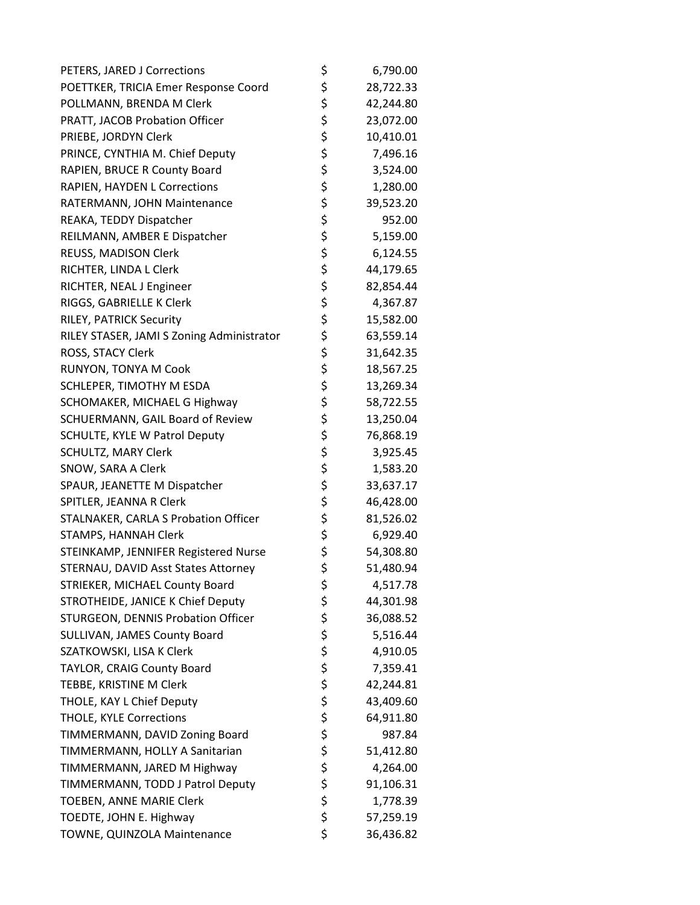| PETERS, JARED J Corrections               | \$<br>6,790.00  |
|-------------------------------------------|-----------------|
| POETTKER, TRICIA Emer Response Coord      | \$<br>28,722.33 |
| POLLMANN, BRENDA M Clerk                  | \$<br>42,244.80 |
| PRATT, JACOB Probation Officer            | \$<br>23,072.00 |
| PRIEBE, JORDYN Clerk                      | \$<br>10,410.01 |
| PRINCE, CYNTHIA M. Chief Deputy           | \$<br>7,496.16  |
| RAPIEN, BRUCE R County Board              | \$<br>3,524.00  |
| RAPIEN, HAYDEN L Corrections              | \$<br>1,280.00  |
| RATERMANN, JOHN Maintenance               | \$<br>39,523.20 |
| REAKA, TEDDY Dispatcher                   | \$<br>952.00    |
| REILMANN, AMBER E Dispatcher              | \$<br>5,159.00  |
| REUSS, MADISON Clerk                      | \$<br>6,124.55  |
| RICHTER, LINDA L Clerk                    | \$<br>44,179.65 |
| RICHTER, NEAL J Engineer                  | \$<br>82,854.44 |
| RIGGS, GABRIELLE K Clerk                  | \$<br>4,367.87  |
| RILEY, PATRICK Security                   | \$<br>15,582.00 |
| RILEY STASER, JAMI S Zoning Administrator | \$<br>63,559.14 |
| ROSS, STACY Clerk                         | \$<br>31,642.35 |
| RUNYON, TONYA M Cook                      | \$<br>18,567.25 |
| SCHLEPER, TIMOTHY M ESDA                  | \$<br>13,269.34 |
| SCHOMAKER, MICHAEL G Highway              | \$<br>58,722.55 |
| SCHUERMANN, GAIL Board of Review          | \$<br>13,250.04 |
| SCHULTE, KYLE W Patrol Deputy             | \$<br>76,868.19 |
| SCHULTZ, MARY Clerk                       | \$<br>3,925.45  |
| SNOW, SARA A Clerk                        | \$<br>1,583.20  |
| SPAUR, JEANETTE M Dispatcher              | \$<br>33,637.17 |
| SPITLER, JEANNA R Clerk                   | \$<br>46,428.00 |
| STALNAKER, CARLA S Probation Officer      | \$<br>81,526.02 |
| <b>STAMPS, HANNAH Clerk</b>               | \$<br>6,929.40  |
| STEINKAMP, JENNIFER Registered Nurse      | \$<br>54,308.80 |
| STERNAU, DAVID Asst States Attorney       | \$<br>51,480.94 |
| STRIEKER, MICHAEL County Board            | \$<br>4,517.78  |
| STROTHEIDE, JANICE K Chief Deputy         | \$<br>44,301.98 |
| STURGEON, DENNIS Probation Officer        | \$<br>36,088.52 |
| SULLIVAN, JAMES County Board              | \$<br>5,516.44  |
| SZATKOWSKI, LISA K Clerk                  | \$<br>4,910.05  |
| TAYLOR, CRAIG County Board                | \$<br>7,359.41  |
| TEBBE, KRISTINE M Clerk                   | \$<br>42,244.81 |
| THOLE, KAY L Chief Deputy                 | \$<br>43,409.60 |
| <b>THOLE, KYLE Corrections</b>            | \$<br>64,911.80 |
| TIMMERMANN, DAVID Zoning Board            | \$<br>987.84    |
| TIMMERMANN, HOLLY A Sanitarian            | \$<br>51,412.80 |
| TIMMERMANN, JARED M Highway               | \$<br>4,264.00  |
| TIMMERMANN, TODD J Patrol Deputy          | \$<br>91,106.31 |
| TOEBEN, ANNE MARIE Clerk                  | \$<br>1,778.39  |
| TOEDTE, JOHN E. Highway                   | \$<br>57,259.19 |
| TOWNE, QUINZOLA Maintenance               | \$<br>36,436.82 |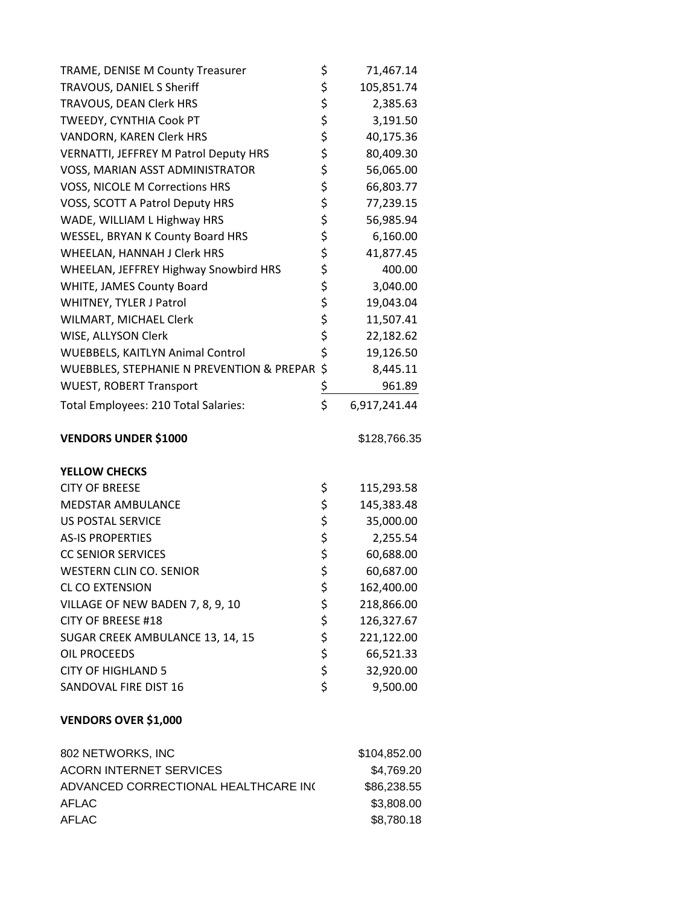| TRAME, DENISE M County Treasurer             | \$          | 71,467.14    |
|----------------------------------------------|-------------|--------------|
| TRAVOUS, DANIEL S Sheriff                    | \$          | 105,851.74   |
| TRAVOUS, DEAN Clerk HRS                      | \$\$\$      | 2,385.63     |
| TWEEDY, CYNTHIA Cook PT                      |             | 3,191.50     |
| VANDORN, KAREN Clerk HRS                     |             | 40,175.36    |
| <b>VERNATTI, JEFFREY M Patrol Deputy HRS</b> | \$          | 80,409.30    |
| VOSS, MARIAN ASST ADMINISTRATOR              |             | 56,065.00    |
| VOSS, NICOLE M Corrections HRS               |             | 66,803.77    |
| VOSS, SCOTT A Patrol Deputy HRS              | ちらさ         | 77,239.15    |
| WADE, WILLIAM L Highway HRS                  |             | 56,985.94    |
| WESSEL, BRYAN K County Board HRS             | \$          | 6,160.00     |
| WHEELAN, HANNAH J Clerk HRS                  |             | 41,877.45    |
| WHEELAN, JEFFREY Highway Snowbird HRS        |             | 400.00       |
| WHITE, JAMES County Board                    | \$\$\$\$    | 3,040.00     |
| WHITNEY, TYLER J Patrol                      |             | 19,043.04    |
| WILMART, MICHAEL Clerk                       | \$          | 11,507.41    |
| WISE, ALLYSON Clerk                          | \$          | 22,182.62    |
| <b>WUEBBELS, KAITLYN Animal Control</b>      | \$          | 19,126.50    |
| WUEBBLES, STEPHANIE N PREVENTION & PREPAR    | \$          | 8,445.11     |
| <b>WUEST, ROBERT Transport</b>               | $rac{5}{5}$ | 961.89       |
|                                              |             |              |
| Total Employees: 210 Total Salaries:         |             | 6,917,241.44 |
| <b>VENDORS UNDER \$1000</b>                  |             | \$128,766.35 |
| <b>YELLOW CHECKS</b>                         |             |              |
| <b>CITY OF BREESE</b>                        | \$          | 115,293.58   |
| <b>MEDSTAR AMBULANCE</b>                     | \$          | 145,383.48   |
| <b>US POSTAL SERVICE</b>                     | \$          | 35,000.00    |
| <b>AS-IS PROPERTIES</b>                      |             | 2,255.54     |
| <b>CC SENIOR SERVICES</b>                    |             | 60,688.00    |
| <b>WESTERN CLIN CO. SENIOR</b>               | \$\$\$      | 60,687.00    |
| <b>CL CO EXTENSION</b>                       | \$          | 162,400.00   |
| VILLAGE OF NEW BADEN 7, 8, 9, 10             | \$          | 218,866.00   |
| <b>CITY OF BREESE #18</b>                    |             | 126,327.67   |
| SUGAR CREEK AMBULANCE 13, 14, 15             | \$<br>\$    | 221,122.00   |
| <b>OIL PROCEEDS</b>                          |             | 66,521.33    |
| <b>CITY OF HIGHLAND 5</b>                    |             | 32,920.00    |
| SANDOVAL FIRE DIST 16                        | \$\$\$      | 9,500.00     |

| 802 NETWORKS, INC                    | \$104,852.00 |
|--------------------------------------|--------------|
| ACORN INTERNET SERVICES              | \$4,769.20   |
| ADVANCED CORRECTIONAL HEALTHCARE INC | \$86,238.55  |
| AFLAC                                | \$3,808,00   |
| AFLAC                                | \$8,780.18   |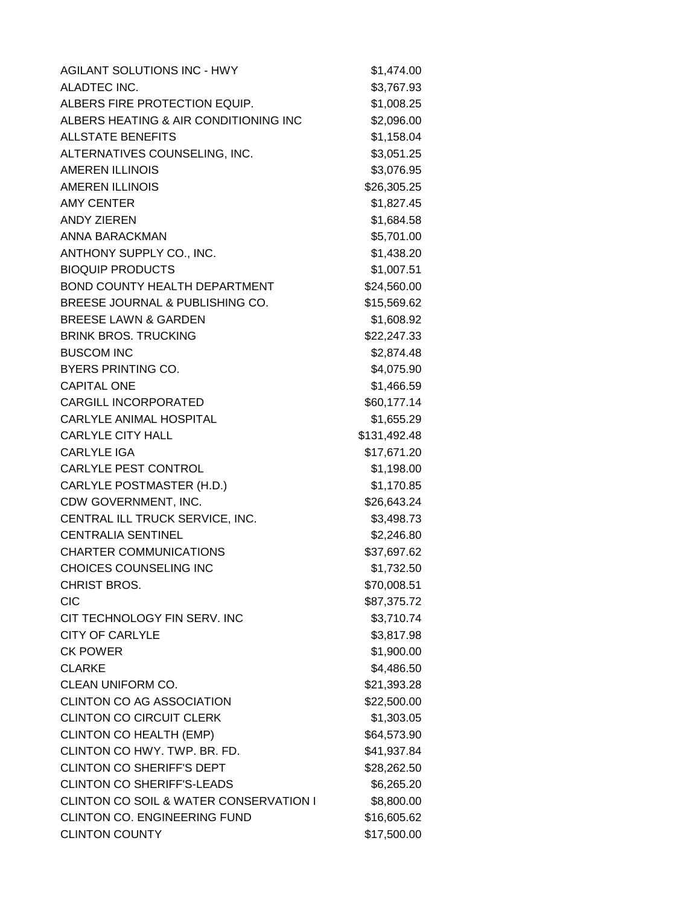| <b>AGILANT SOLUTIONS INC - HWY</b>                | \$1,474.00   |
|---------------------------------------------------|--------------|
| ALADTEC INC.                                      | \$3,767.93   |
| ALBERS FIRE PROTECTION EQUIP.                     | \$1,008.25   |
| ALBERS HEATING & AIR CONDITIONING INC             | \$2,096.00   |
| <b>ALLSTATE BENEFITS</b>                          | \$1,158.04   |
| ALTERNATIVES COUNSELING, INC.                     | \$3,051.25   |
| <b>AMEREN ILLINOIS</b>                            | \$3,076.95   |
| <b>AMEREN ILLINOIS</b>                            | \$26,305.25  |
| <b>AMY CENTER</b>                                 | \$1,827.45   |
| <b>ANDY ZIEREN</b>                                | \$1,684.58   |
| ANNA BARACKMAN                                    | \$5,701.00   |
| ANTHONY SUPPLY CO., INC.                          | \$1,438.20   |
| <b>BIOQUIP PRODUCTS</b>                           | \$1,007.51   |
| <b>BOND COUNTY HEALTH DEPARTMENT</b>              | \$24,560.00  |
| BREESE JOURNAL & PUBLISHING CO.                   | \$15,569.62  |
| <b>BREESE LAWN &amp; GARDEN</b>                   | \$1,608.92   |
| <b>BRINK BROS. TRUCKING</b>                       | \$22,247.33  |
| <b>BUSCOM INC</b>                                 | \$2,874.48   |
| <b>BYERS PRINTING CO.</b>                         | \$4,075.90   |
| <b>CAPITAL ONE</b>                                | \$1,466.59   |
| <b>CARGILL INCORPORATED</b>                       | \$60,177.14  |
| CARLYLE ANIMAL HOSPITAL                           | \$1,655.29   |
| <b>CARLYLE CITY HALL</b>                          | \$131,492.48 |
| <b>CARLYLE IGA</b>                                | \$17,671.20  |
| <b>CARLYLE PEST CONTROL</b>                       | \$1,198.00   |
| CARLYLE POSTMASTER (H.D.)                         | \$1,170.85   |
| CDW GOVERNMENT, INC.                              | \$26,643.24  |
| CENTRAL ILL TRUCK SERVICE, INC.                   | \$3,498.73   |
| <b>CENTRALIA SENTINEL</b>                         | \$2,246.80   |
| <b>CHARTER COMMUNICATIONS</b>                     | \$37,697.62  |
| CHOICES COUNSELING INC                            | \$1,732.50   |
| <b>CHRIST BROS.</b>                               | \$70,008.51  |
| <b>CIC</b>                                        | \$87,375.72  |
| CIT TECHNOLOGY FIN SERV. INC                      | \$3,710.74   |
| <b>CITY OF CARLYLE</b>                            | \$3,817.98   |
| <b>CK POWER</b>                                   | \$1,900.00   |
| <b>CLARKE</b>                                     | \$4,486.50   |
| CLEAN UNIFORM CO.                                 | \$21,393.28  |
| <b>CLINTON CO AG ASSOCIATION</b>                  | \$22,500.00  |
| <b>CLINTON CO CIRCUIT CLERK</b>                   | \$1,303.05   |
| <b>CLINTON CO HEALTH (EMP)</b>                    | \$64,573.90  |
| CLINTON CO HWY. TWP. BR. FD.                      | \$41,937.84  |
| <b>CLINTON CO SHERIFF'S DEPT</b>                  | \$28,262.50  |
| <b>CLINTON CO SHERIFF'S-LEADS</b>                 | \$6,265.20   |
| <b>CLINTON CO SOIL &amp; WATER CONSERVATION I</b> | \$8,800.00   |
| CLINTON CO. ENGINEERING FUND                      | \$16,605.62  |
| <b>CLINTON COUNTY</b>                             | \$17,500.00  |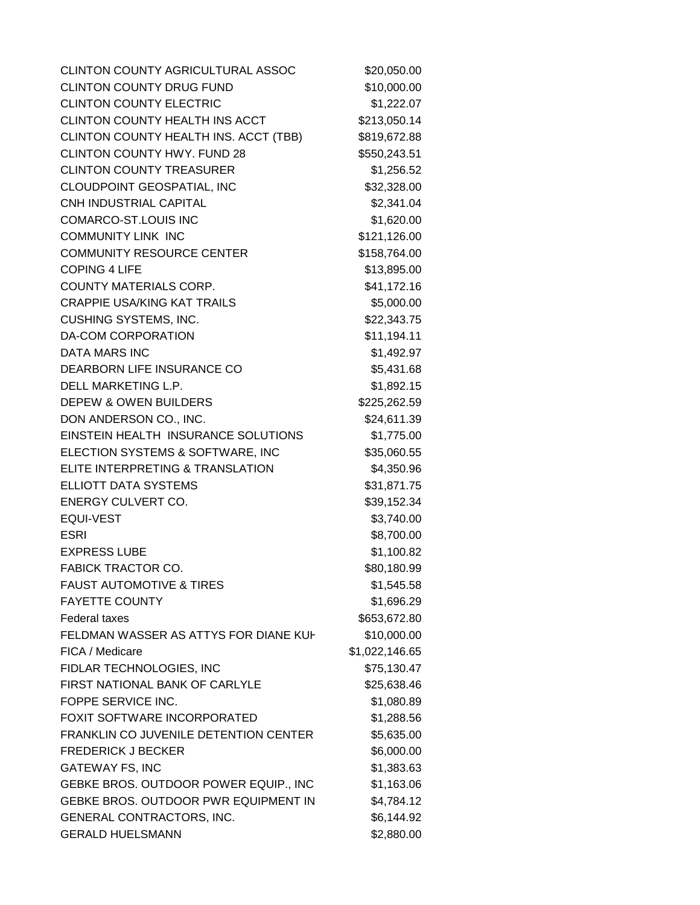CLINTON COUNTY AGRICULTURAL ASSOC \$20,050.00 CLINTON COUNTY DRUG FUND \$10,000.00 CLINTON COUNTY ELECTRIC \$1,222.07 CLINTON COUNTY HEALTH INS ACCT \$213,050.14 CLINTON COUNTY HEALTH INS. ACCT (TBB) \$819,672.88 CLINTON COUNTY HWY. FUND 28 \$550,243.51 CLINTON COUNTY TREASURER \$1,256.52 CLOUDPOINT GEOSPATIAL, INC \$32,328.00 CNH INDUSTRIAL CAPITAL 62,341.04 COMARCO-ST.LOUIS INC \$1,620.00 COMMUNITY LINK INC \$121,126.00 COMMUNITY RESOURCE CENTER \$158,764.00 COPING 4 LIFE \$13,895.00 COUNTY MATERIALS CORP. \$41,172.16 CRAPPIE USA/KING KAT TRAILS \$5,000.00 CUSHING SYSTEMS, INC.  $$22,343.75$ DA-COM CORPORATION \$11,194.11 DATA MARS INC \$1,492.97 DEARBORN LIFE INSURANCE CO \$5,431.68 DELL MARKETING L.P. 61.892.15 DEPEW & OWEN BUILDERS \$225,262.59 DON ANDERSON CO., INC. \$24,611.39 EINSTEIN HEALTH INSURANCE SOLUTIONS \$1,775.00 ELECTION SYSTEMS & SOFTWARE, INC \$35,060.55 ELITE INTERPRETING & TRANSLATION \$4,350.96 ELLIOTT DATA SYSTEMS \$31,871.75 ENERGY CULVERT CO. \$39,152.34 EQUI-VEST \$3,740.00 ESRI \$8,700.00 EXPRESS LUBE \$1,100.82 FABICK TRACTOR CO. \$80,180.99 FAUST AUTOMOTIVE & TIRES \$1,545.58 FAYETTE COUNTY \$1,696.29 Federal taxes \$653,672.80 FELDMAN WASSER AS ATTYS FOR DIANE KUHS10,000.00 FICA / Medicare \$1,022,146.65 FIDLAR TECHNOLOGIES, INC \$75,130.47 FIRST NATIONAL BANK OF CARLYLE \$25,638.46 FOPPE SERVICE INC. \$1,080.89 FOXIT SOFTWARE INCORPORATED \$1,288.56 FRANKLIN CO JUVENILE DETENTION CENTER \$5,635.00 FREDERICK J BECKER \$6,000.00 GATEWAY FS, INC 6.1.383.63 GEBKE BROS. OUTDOOR POWER EQUIP., INC \$1,163.06 GEBKE BROS. OUTDOOR PWR EQUIPMENT IN \$4,784.12 GENERAL CONTRACTORS, INC.  $$6,144.92$ GERALD HUELSMANN \$2,880.00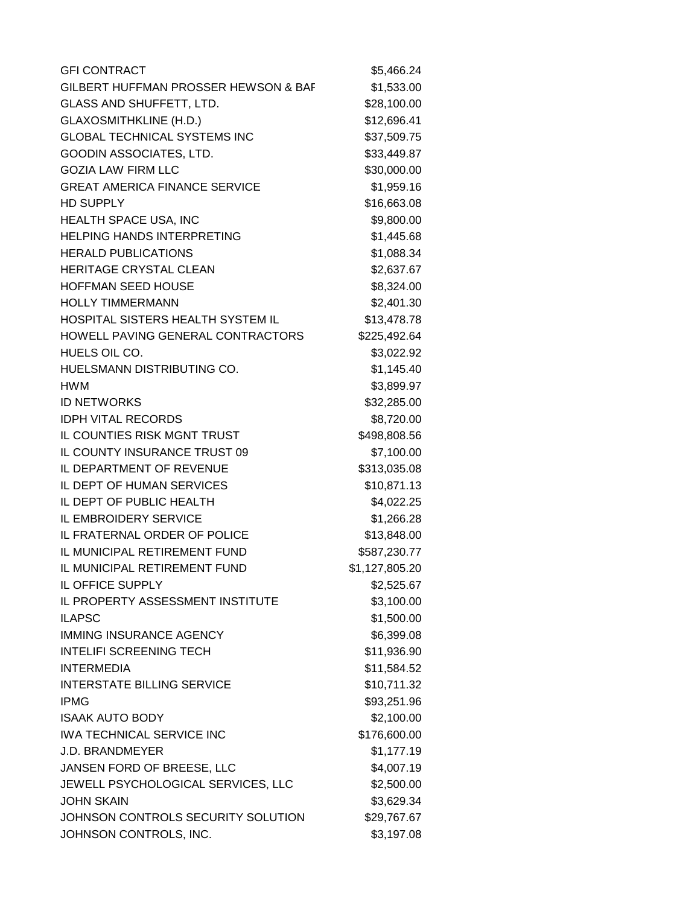| <b>GFI CONTRACT</b>                  | \$5,466.24     |
|--------------------------------------|----------------|
| GILBERT HUFFMAN PROSSER HEWSON & BAF | \$1,533.00     |
| GLASS AND SHUFFETT, LTD.             | \$28,100.00    |
| <b>GLAXOSMITHKLINE (H.D.)</b>        | \$12,696.41    |
| <b>GLOBAL TECHNICAL SYSTEMS INC</b>  | \$37,509.75    |
| <b>GOODIN ASSOCIATES, LTD.</b>       | \$33,449.87    |
| <b>GOZIA LAW FIRM LLC</b>            | \$30,000.00    |
| <b>GREAT AMERICA FINANCE SERVICE</b> | \$1,959.16     |
| <b>HD SUPPLY</b>                     | \$16,663.08    |
| HEALTH SPACE USA, INC                | \$9,800.00     |
| <b>HELPING HANDS INTERPRETING</b>    | \$1,445.68     |
| <b>HERALD PUBLICATIONS</b>           | \$1,088.34     |
| HERITAGE CRYSTAL CLEAN               | \$2,637.67     |
| <b>HOFFMAN SEED HOUSE</b>            | \$8,324.00     |
| <b>HOLLY TIMMERMANN</b>              | \$2,401.30     |
| HOSPITAL SISTERS HEALTH SYSTEM IL    | \$13,478.78    |
| HOWELL PAVING GENERAL CONTRACTORS    | \$225,492.64   |
| HUELS OIL CO.                        | \$3,022.92     |
| HUELSMANN DISTRIBUTING CO.           | \$1,145.40     |
| <b>HWM</b>                           | \$3,899.97     |
| <b>ID NETWORKS</b>                   | \$32,285.00    |
| <b>IDPH VITAL RECORDS</b>            | \$8,720.00     |
| IL COUNTIES RISK MGNT TRUST          | \$498,808.56   |
| IL COUNTY INSURANCE TRUST 09         | \$7,100.00     |
| IL DEPARTMENT OF REVENUE             | \$313,035.08   |
| IL DEPT OF HUMAN SERVICES            | \$10,871.13    |
| IL DEPT OF PUBLIC HEALTH             | \$4,022.25     |
| IL EMBROIDERY SERVICE                | \$1,266.28     |
| IL FRATERNAL ORDER OF POLICE         | \$13,848.00    |
| IL MUNICIPAL RETIREMENT FUND         | \$587,230.77   |
| IL MUNICIPAL RETIREMENT FUND         | \$1,127,805.20 |
| IL OFFICE SUPPLY                     | \$2,525.67     |
| IL PROPERTY ASSESSMENT INSTITUTE     | \$3,100.00     |
| <b>ILAPSC</b>                        | \$1,500.00     |
| <b>IMMING INSURANCE AGENCY</b>       | \$6,399.08     |
| <b>INTELIFI SCREENING TECH</b>       | \$11,936.90    |
| <b>INTERMEDIA</b>                    | \$11,584.52    |
| <b>INTERSTATE BILLING SERVICE</b>    | \$10,711.32    |
| <b>IPMG</b>                          | \$93,251.96    |
| <b>ISAAK AUTO BODY</b>               | \$2,100.00     |
| <b>IWA TECHNICAL SERVICE INC</b>     | \$176,600.00   |
| <b>J.D. BRANDMEYER</b>               | \$1,177.19     |
| JANSEN FORD OF BREESE, LLC           | \$4,007.19     |
| JEWELL PSYCHOLOGICAL SERVICES, LLC   | \$2,500.00     |
| <b>JOHN SKAIN</b>                    | \$3,629.34     |
| JOHNSON CONTROLS SECURITY SOLUTION   | \$29,767.67    |
| JOHNSON CONTROLS, INC.               | \$3,197.08     |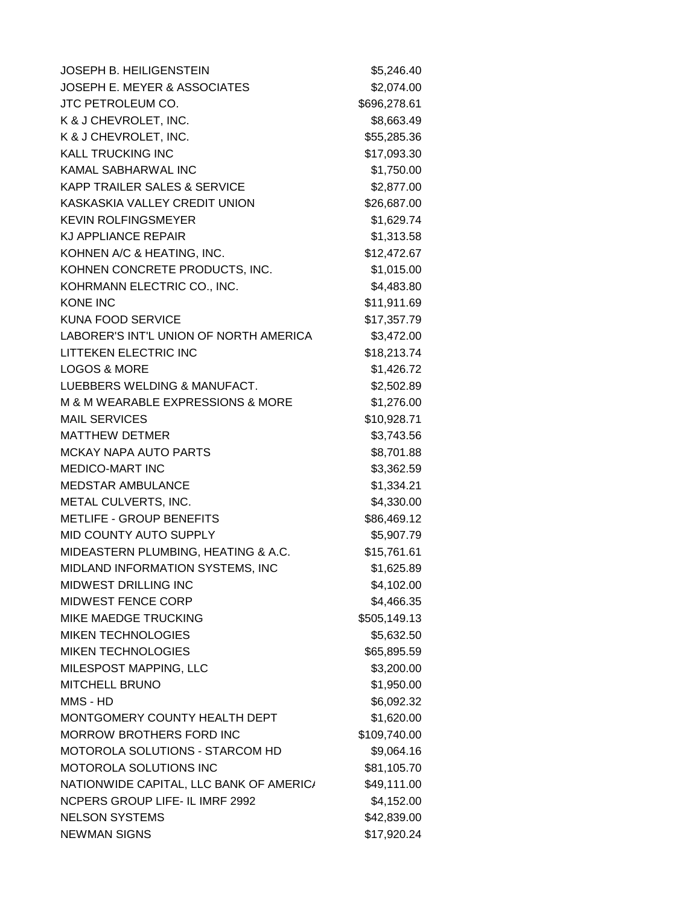| <b>JOSEPH B. HEILIGENSTEIN</b>          | \$5,246.40   |
|-----------------------------------------|--------------|
| <b>JOSEPH E. MEYER &amp; ASSOCIATES</b> | \$2,074.00   |
| JTC PETROLEUM CO.                       | \$696,278.61 |
| K & J CHEVROLET, INC.                   | \$8,663.49   |
| K & J CHEVROLET, INC.                   | \$55,285.36  |
| <b>KALL TRUCKING INC</b>                | \$17,093.30  |
| KAMAL SABHARWAL INC                     | \$1,750.00   |
| <b>KAPP TRAILER SALES &amp; SERVICE</b> | \$2,877.00   |
| KASKASKIA VALLEY CREDIT UNION           | \$26,687.00  |
| <b>KEVIN ROLFINGSMEYER</b>              | \$1,629.74   |
| <b>KJ APPLIANCE REPAIR</b>              | \$1,313.58   |
| KOHNEN A/C & HEATING, INC.              | \$12,472.67  |
| KOHNEN CONCRETE PRODUCTS, INC.          | \$1,015.00   |
| KOHRMANN ELECTRIC CO., INC.             | \$4,483.80   |
| <b>KONE INC</b>                         | \$11,911.69  |
| <b>KUNA FOOD SERVICE</b>                | \$17,357.79  |
| LABORER'S INT'L UNION OF NORTH AMERICA  | \$3,472.00   |
| LITTEKEN ELECTRIC INC                   | \$18,213.74  |
| <b>LOGOS &amp; MORE</b>                 | \$1,426.72   |
| LUEBBERS WELDING & MANUFACT.            | \$2,502.89   |
| M & M WEARABLE EXPRESSIONS & MORE       | \$1,276.00   |
| <b>MAIL SERVICES</b>                    | \$10,928.71  |
| <b>MATTHEW DETMER</b>                   | \$3,743.56   |
| <b>MCKAY NAPA AUTO PARTS</b>            | \$8,701.88   |
| <b>MEDICO-MART INC</b>                  | \$3,362.59   |
| <b>MEDSTAR AMBULANCE</b>                | \$1,334.21   |
| METAL CULVERTS, INC.                    | \$4,330.00   |
| <b>METLIFE - GROUP BENEFITS</b>         | \$86,469.12  |
| MID COUNTY AUTO SUPPLY                  | \$5,907.79   |
| MIDEASTERN PLUMBING, HEATING & A.C.     | \$15,761.61  |
| MIDLAND INFORMATION SYSTEMS, INC        | \$1,625.89   |
| <b>MIDWEST DRILLING INC</b>             | \$4,102.00   |
| MIDWEST FENCE CORP                      | \$4,466.35   |
| <b>MIKE MAEDGE TRUCKING</b>             | \$505,149.13 |
| <b>MIKEN TECHNOLOGIES</b>               | \$5,632.50   |
| <b>MIKEN TECHNOLOGIES</b>               | \$65,895.59  |
| MILESPOST MAPPING, LLC                  | \$3,200.00   |
| <b>MITCHELL BRUNO</b>                   | \$1,950.00   |
| MMS - HD                                | \$6,092.32   |
| MONTGOMERY COUNTY HEALTH DEPT           | \$1,620.00   |
| <b>MORROW BROTHERS FORD INC</b>         | \$109,740.00 |
| <b>MOTOROLA SOLUTIONS - STARCOM HD</b>  | \$9,064.16   |
| <b>MOTOROLA SOLUTIONS INC</b>           | \$81,105.70  |
| NATIONWIDE CAPITAL, LLC BANK OF AMERIC/ | \$49,111.00  |
| NCPERS GROUP LIFE- IL IMRF 2992         | \$4,152.00   |
| <b>NELSON SYSTEMS</b>                   | \$42,839.00  |
| <b>NEWMAN SIGNS</b>                     | \$17,920.24  |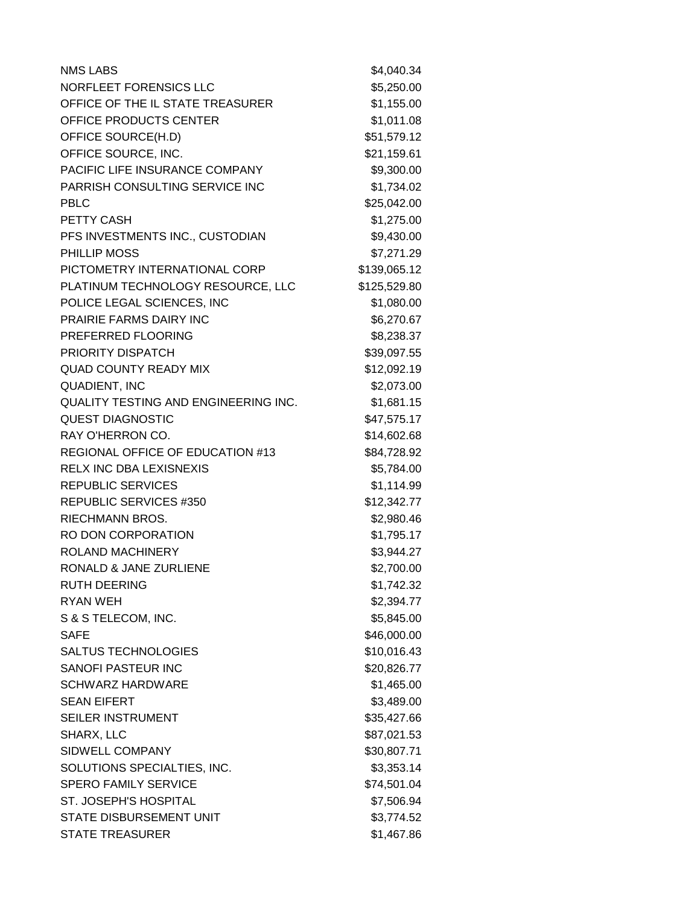| <b>NMS LABS</b>                      | \$4,040.34   |
|--------------------------------------|--------------|
| NORFLEET FORENSICS LLC               | \$5,250.00   |
| OFFICE OF THE IL STATE TREASURER     | \$1,155.00   |
| OFFICE PRODUCTS CENTER               | \$1,011.08   |
| OFFICE SOURCE(H.D)                   | \$51,579.12  |
| OFFICE SOURCE, INC.                  | \$21,159.61  |
| PACIFIC LIFE INSURANCE COMPANY       | \$9,300.00   |
| PARRISH CONSULTING SERVICE INC       | \$1,734.02   |
| <b>PBLC</b>                          | \$25,042.00  |
| PETTY CASH                           | \$1,275.00   |
| PFS INVESTMENTS INC., CUSTODIAN      | \$9,430.00   |
| PHILLIP MOSS                         | \$7,271.29   |
| PICTOMETRY INTERNATIONAL CORP        | \$139,065.12 |
| PLATINUM TECHNOLOGY RESOURCE, LLC    | \$125,529.80 |
| POLICE LEGAL SCIENCES, INC           | \$1,080.00   |
| PRAIRIE FARMS DAIRY INC              | \$6,270.67   |
| PREFERRED FLOORING                   | \$8,238.37   |
| PRIORITY DISPATCH                    | \$39,097.55  |
| <b>QUAD COUNTY READY MIX</b>         | \$12,092.19  |
| <b>QUADIENT, INC</b>                 | \$2,073.00   |
| QUALITY TESTING AND ENGINEERING INC. | \$1,681.15   |
| <b>QUEST DIAGNOSTIC</b>              | \$47,575.17  |
| RAY O'HERRON CO.                     | \$14,602.68  |
| REGIONAL OFFICE OF EDUCATION #13     | \$84,728.92  |
| RELX INC DBA LEXISNEXIS              | \$5,784.00   |
| <b>REPUBLIC SERVICES</b>             | \$1,114.99   |
| <b>REPUBLIC SERVICES #350</b>        | \$12,342.77  |
| RIECHMANN BROS.                      | \$2,980.46   |
| RO DON CORPORATION                   | \$1,795.17   |
| <b>ROLAND MACHINERY</b>              | \$3,944.27   |
| RONALD & JANE ZURLIENE               | \$2,700.00   |
| <b>RUTH DEERING</b>                  | \$1,742.32   |
| <b>RYAN WEH</b>                      | \$2,394.77   |
| S & S TELECOM, INC.                  | \$5,845.00   |
| <b>SAFE</b>                          | \$46,000.00  |
| <b>SALTUS TECHNOLOGIES</b>           | \$10,016.43  |
| <b>SANOFI PASTEUR INC</b>            | \$20,826.77  |
| <b>SCHWARZ HARDWARE</b>              | \$1,465.00   |
| <b>SEAN EIFERT</b>                   | \$3,489.00   |
| SEILER INSTRUMENT                    | \$35,427.66  |
| SHARX, LLC                           | \$87,021.53  |
| SIDWELL COMPANY                      | \$30,807.71  |
| SOLUTIONS SPECIALTIES, INC.          | \$3,353.14   |
| <b>SPERO FAMILY SERVICE</b>          | \$74,501.04  |
| ST. JOSEPH'S HOSPITAL                | \$7,506.94   |
| STATE DISBURSEMENT UNIT              | \$3,774.52   |
| <b>STATE TREASURER</b>               | \$1,467.86   |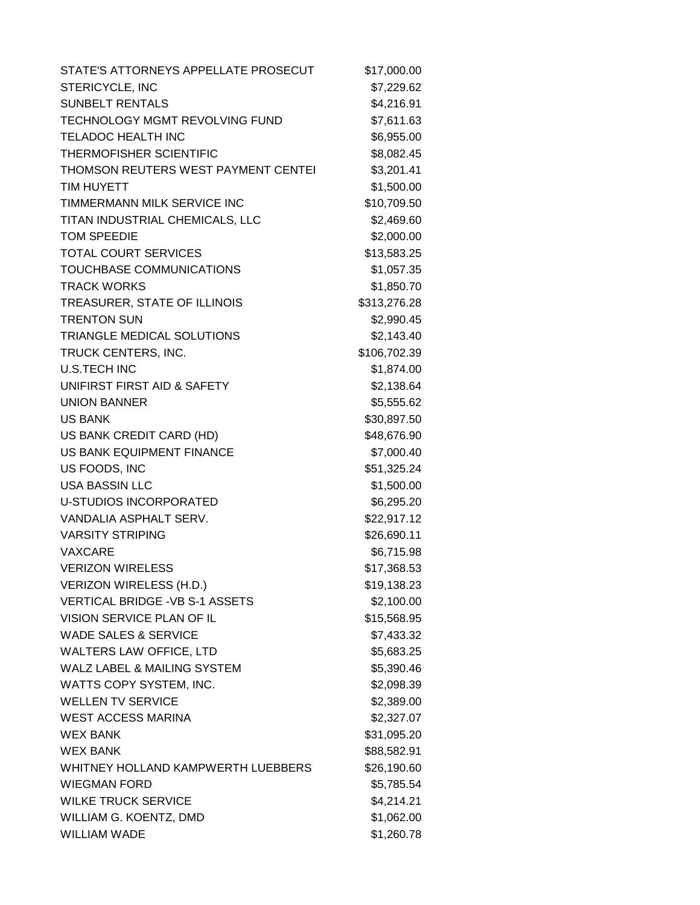| STATE'S ATTORNEYS APPELLATE PROSECUT   | \$17,000.00  |
|----------------------------------------|--------------|
| STERICYCLE, INC                        | \$7,229.62   |
| <b>SUNBELT RENTALS</b>                 | \$4,216.91   |
| TECHNOLOGY MGMT REVOLVING FUND         | \$7,611.63   |
| <b>TELADOC HEALTH INC</b>              | \$6,955.00   |
| THERMOFISHER SCIENTIFIC                | \$8,082.45   |
| THOMSON REUTERS WEST PAYMENT CENTEI    | \$3,201.41   |
| <b>TIM HUYETT</b>                      | \$1,500.00   |
| TIMMERMANN MILK SERVICE INC            | \$10,709.50  |
| TITAN INDUSTRIAL CHEMICALS, LLC        | \$2,469.60   |
| <b>TOM SPEEDIE</b>                     | \$2,000.00   |
| <b>TOTAL COURT SERVICES</b>            | \$13,583.25  |
| TOUCHBASE COMMUNICATIONS               | \$1,057.35   |
| <b>TRACK WORKS</b>                     | \$1,850.70   |
| TREASURER, STATE OF ILLINOIS           | \$313,276.28 |
| <b>TRENTON SUN</b>                     | \$2,990.45   |
| TRIANGLE MEDICAL SOLUTIONS             | \$2,143.40   |
| TRUCK CENTERS, INC.                    | \$106,702.39 |
| <b>U.S.TECH INC</b>                    | \$1,874.00   |
| UNIFIRST FIRST AID & SAFETY            | \$2,138.64   |
| <b>UNION BANNER</b>                    | \$5,555.62   |
| <b>US BANK</b>                         | \$30,897.50  |
| US BANK CREDIT CARD (HD)               | \$48,676.90  |
| US BANK EQUIPMENT FINANCE              | \$7,000.40   |
| US FOODS, INC                          | \$51,325.24  |
| <b>USA BASSIN LLC</b>                  | \$1,500.00   |
| <b>U-STUDIOS INCORPORATED</b>          | \$6,295.20   |
| VANDALIA ASPHALT SERV.                 | \$22,917.12  |
| <b>VARSITY STRIPING</b>                | \$26,690.11  |
| <b>VAXCARE</b>                         | \$6,715.98   |
| <b>VERIZON WIRELESS</b>                | \$17,368.53  |
| <b>VERIZON WIRELESS (H.D.)</b>         | \$19,138.23  |
| <b>VERTICAL BRIDGE - VB S-1 ASSETS</b> | \$2,100.00   |
| VISION SERVICE PLAN OF IL              | \$15,568.95  |
| <b>WADE SALES &amp; SERVICE</b>        | \$7,433.32   |
| <b>WALTERS LAW OFFICE, LTD</b>         | \$5,683.25   |
| <b>WALZ LABEL &amp; MAILING SYSTEM</b> | \$5,390.46   |
| WATTS COPY SYSTEM, INC.                | \$2,098.39   |
| <b>WELLEN TV SERVICE</b>               | \$2,389.00   |
| <b>WEST ACCESS MARINA</b>              | \$2,327.07   |
| <b>WEX BANK</b>                        | \$31,095.20  |
| <b>WEX BANK</b>                        | \$88,582.91  |
| WHITNEY HOLLAND KAMPWERTH LUEBBERS     | \$26,190.60  |
| <b>WIEGMAN FORD</b>                    | \$5,785.54   |
| <b>WILKE TRUCK SERVICE</b>             | \$4,214.21   |
| WILLIAM G. KOENTZ, DMD                 | \$1,062.00   |
| <b>WILLIAM WADE</b>                    | \$1,260.78   |